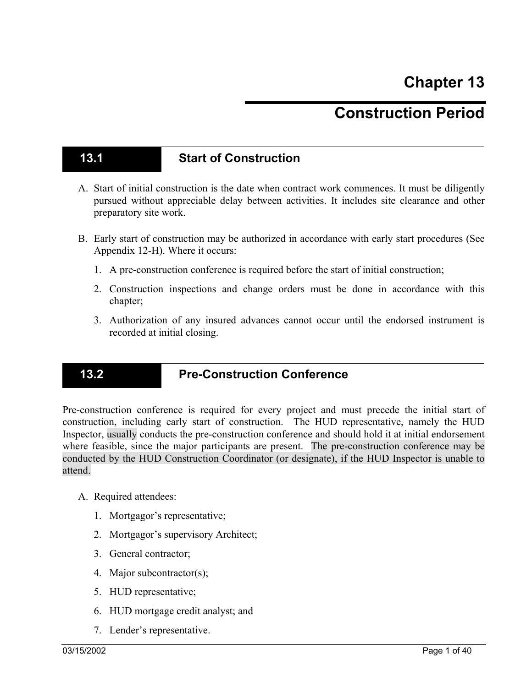# **Construction Period**

### **13.1 Start of Construction**

- A. Start of initial construction is the date when contract work commences. It must be diligently pursued without appreciable delay between activities. It includes site clearance and other preparatory site work.
- B. Early start of construction may be authorized in accordance with early start procedures (See Appendix 12-H). Where it occurs:
	- 1. A pre-construction conference is required before the start of initial construction;
	- 2. Construction inspections and change orders must be done in accordance with this chapter;
	- 3. Authorization of any insured advances cannot occur until the endorsed instrument is recorded at initial closing.

#### **13.2 Pre-Construction Conference**

Pre-construction conference is required for every project and must precede the initial start of construction, including early start of construction. The HUD representative, namely the HUD Inspector, usually conducts the pre-construction conference and should hold it at initial endorsement where feasible, since the major participants are present. The pre-construction conference may be conducted by the HUD Construction Coordinator (or designate), if the HUD Inspector is unable to attend.

- A. Required attendees:
	- 1. Mortgagor's representative;
	- 2. Mortgagor's supervisory Architect;
	- 3. General contractor;
	- 4. Major subcontractor(s);
	- 5. HUD representative;
	- 6. HUD mortgage credit analyst; and
	- 7. Lender's representative.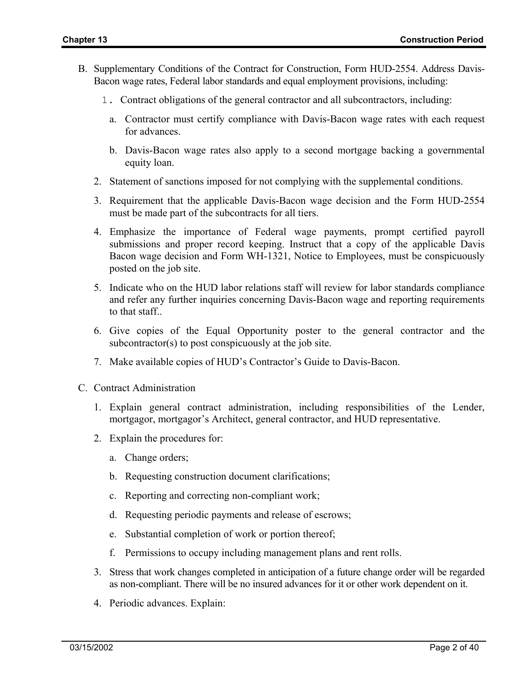- B. Supplementary Conditions of the Contract for Construction, Form HUD-2554. Address Davis-Bacon wage rates, Federal labor standards and equal employment provisions, including:
	- 1. Contract obligations of the general contractor and all subcontractors, including:
		- a. Contractor must certify compliance with Davis-Bacon wage rates with each request for advances.
		- b. Davis-Bacon wage rates also apply to a second mortgage backing a governmental equity loan.
	- 2. Statement of sanctions imposed for not complying with the supplemental conditions.
	- 3. Requirement that the applicable Davis-Bacon wage decision and the Form HUD-2554 must be made part of the subcontracts for all tiers.
	- 4. Emphasize the importance of Federal wage payments, prompt certified payroll submissions and proper record keeping. Instruct that a copy of the applicable Davis Bacon wage decision and Form WH-1321, Notice to Employees, must be conspicuously posted on the job site.
	- 5. Indicate who on the HUD labor relations staff will review for labor standards compliance and refer any further inquiries concerning Davis-Bacon wage and reporting requirements to that staff..
	- 6. Give copies of the Equal Opportunity poster to the general contractor and the subcontractor(s) to post conspicuously at the job site.
	- 7. Make available copies of HUD's Contractor's Guide to Davis-Bacon.
- C. Contract Administration
	- 1. Explain general contract administration, including responsibilities of the Lender, mortgagor, mortgagor's Architect, general contractor, and HUD representative.
	- 2. Explain the procedures for:
		- a. Change orders;
		- b. Requesting construction document clarifications;
		- c. Reporting and correcting non-compliant work;
		- d. Requesting periodic payments and release of escrows;
		- e. Substantial completion of work or portion thereof;
		- f. Permissions to occupy including management plans and rent rolls.
	- 3. Stress that work changes completed in anticipation of a future change order will be regarded as non-compliant. There will be no insured advances for it or other work dependent on it.
	- 4. Periodic advances. Explain: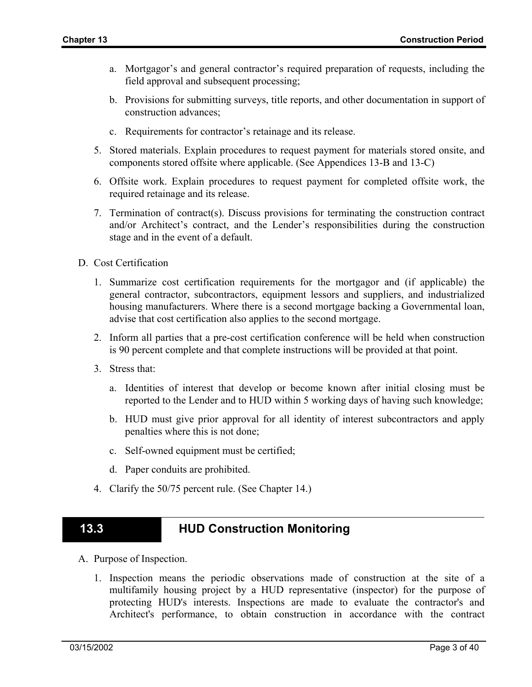- a. Mortgagor's and general contractor's required preparation of requests, including the field approval and subsequent processing;
- b. Provisions for submitting surveys, title reports, and other documentation in support of construction advances;
- c. Requirements for contractor's retainage and its release.
- 5. Stored materials. Explain procedures to request payment for materials stored onsite, and components stored offsite where applicable. (See Appendices 13-B and 13-C)
- 6. Offsite work. Explain procedures to request payment for completed offsite work, the required retainage and its release.
- 7. Termination of contract(s). Discuss provisions for terminating the construction contract and/or Architect's contract, and the Lender's responsibilities during the construction stage and in the event of a default.
- D. Cost Certification
	- 1. Summarize cost certification requirements for the mortgagor and (if applicable) the general contractor, subcontractors, equipment lessors and suppliers, and industrialized housing manufacturers. Where there is a second mortgage backing a Governmental loan, advise that cost certification also applies to the second mortgage.
	- 2. Inform all parties that a pre-cost certification conference will be held when construction is 90 percent complete and that complete instructions will be provided at that point.
	- 3. Stress that:
		- a. Identities of interest that develop or become known after initial closing must be reported to the Lender and to HUD within 5 working days of having such knowledge;
		- b. HUD must give prior approval for all identity of interest subcontractors and apply penalties where this is not done;
		- c. Self-owned equipment must be certified;
		- d. Paper conduits are prohibited.
	- 4. Clarify the 50/75 percent rule. (See Chapter 14.)

### **13.3 HUD Construction Monitoring**

- A. Purpose of Inspection.
	- 1. Inspection means the periodic observations made of construction at the site of a multifamily housing project by a HUD representative (inspector) for the purpose of protecting HUD's interests. Inspections are made to evaluate the contractor's and Architect's performance, to obtain construction in accordance with the contract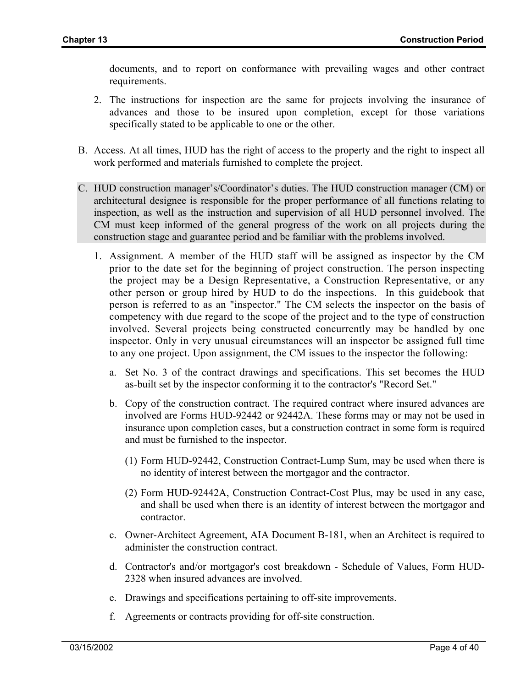documents, and to report on conformance with prevailing wages and other contract requirements.

- 2. The instructions for inspection are the same for projects involving the insurance of advances and those to be insured upon completion, except for those variations specifically stated to be applicable to one or the other.
- B. Access. At all times, HUD has the right of access to the property and the right to inspect all work performed and materials furnished to complete the project.
- C. HUD construction manager's/Coordinator's duties. The HUD construction manager (CM) or architectural designee is responsible for the proper performance of all functions relating to inspection, as well as the instruction and supervision of all HUD personnel involved. The CM must keep informed of the general progress of the work on all projects during the construction stage and guarantee period and be familiar with the problems involved.
	- 1. Assignment. A member of the HUD staff will be assigned as inspector by the CM prior to the date set for the beginning of project construction. The person inspecting the project may be a Design Representative, a Construction Representative, or any other person or group hired by HUD to do the inspections. In this guidebook that person is referred to as an "inspector." The CM selects the inspector on the basis of competency with due regard to the scope of the project and to the type of construction involved. Several projects being constructed concurrently may be handled by one inspector. Only in very unusual circumstances will an inspector be assigned full time to any one project. Upon assignment, the CM issues to the inspector the following:
		- a. Set No. 3 of the contract drawings and specifications. This set becomes the HUD as-built set by the inspector conforming it to the contractor's "Record Set."
		- b. Copy of the construction contract. The required contract where insured advances are involved are Forms HUD-92442 or 92442A. These forms may or may not be used in insurance upon completion cases, but a construction contract in some form is required and must be furnished to the inspector.
			- (1) Form HUD-92442, Construction Contract-Lump Sum, may be used when there is no identity of interest between the mortgagor and the contractor.
			- (2) Form HUD-92442A, Construction Contract-Cost Plus, may be used in any case, and shall be used when there is an identity of interest between the mortgagor and contractor.
		- c. Owner-Architect Agreement, AIA Document B-181, when an Architect is required to administer the construction contract.
		- d. Contractor's and/or mortgagor's cost breakdown Schedule of Values, Form HUD-2328 when insured advances are involved.
		- e. Drawings and specifications pertaining to off-site improvements.
		- f. Agreements or contracts providing for off-site construction.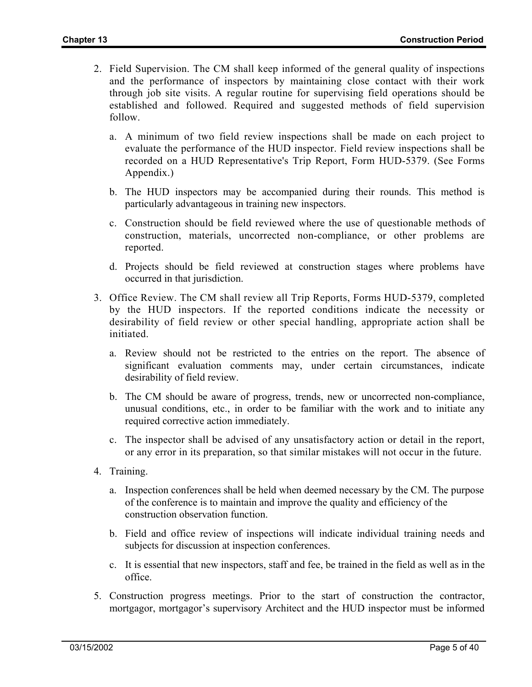- 2. Field Supervision. The CM shall keep informed of the general quality of inspections and the performance of inspectors by maintaining close contact with their work through job site visits. A regular routine for supervising field operations should be established and followed. Required and suggested methods of field supervision follow.
	- a. A minimum of two field review inspections shall be made on each project to evaluate the performance of the HUD inspector. Field review inspections shall be recorded on a HUD Representative's Trip Report, Form HUD-5379. (See Forms Appendix.)
	- b. The HUD inspectors may be accompanied during their rounds. This method is particularly advantageous in training new inspectors.
	- c. Construction should be field reviewed where the use of questionable methods of construction, materials, uncorrected non-compliance, or other problems are reported.
	- d. Projects should be field reviewed at construction stages where problems have occurred in that jurisdiction.
- 3. Office Review. The CM shall review all Trip Reports, Forms HUD-5379, completed by the HUD inspectors. If the reported conditions indicate the necessity or desirability of field review or other special handling, appropriate action shall be initiated.
	- a. Review should not be restricted to the entries on the report. The absence of significant evaluation comments may, under certain circumstances, indicate desirability of field review.
	- b. The CM should be aware of progress, trends, new or uncorrected non-compliance, unusual conditions, etc., in order to be familiar with the work and to initiate any required corrective action immediately.
	- c. The inspector shall be advised of any unsatisfactory action or detail in the report, or any error in its preparation, so that similar mistakes will not occur in the future.
- 4. Training.
	- a. Inspection conferences shall be held when deemed necessary by the CM. The purpose of the conference is to maintain and improve the quality and efficiency of the construction observation function.
	- b. Field and office review of inspections will indicate individual training needs and subjects for discussion at inspection conferences.
	- c. It is essential that new inspectors, staff and fee, be trained in the field as well as in the office.
- 5. Construction progress meetings. Prior to the start of construction the contractor, mortgagor, mortgagor's supervisory Architect and the HUD inspector must be informed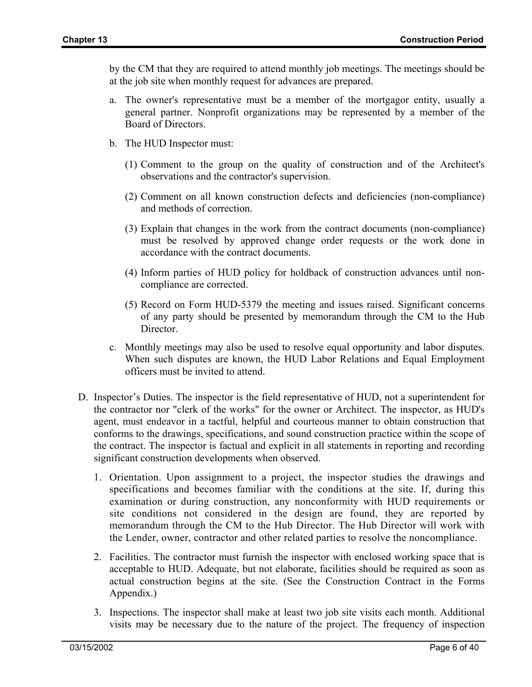by the CM that they are required to attend monthly job meetings. The meetings should be at the job site when monthly request for advances are prepared.

- a. The owner's representative must be a member of the mortgagor entity, usually a general partner. Nonprofit organizations may be represented by a member of the Board of Directors.
- b. The HUD Inspector must:
	- (1) Comment to the group on the quality of construction and of the Architect's observations and the contractor's supervision.
	- (2) Comment on all known construction defects and deficiencies (non-compliance) and methods of correction.
	- (3) Explain that changes in the work from the contract documents (non-compliance) must be resolved by approved change order requests or the work done in accordance with the contract documents.
	- (4) Inform parties of HUD policy for holdback of construction advances until noncompliance are corrected.
	- (5) Record on Form HUD-5379 the meeting and issues raised. Significant concerns of any party should be presented by memorandum through the CM to the Hub Director.
- c. Monthly meetings may also be used to resolve equal opportunity and labor disputes. When such disputes are known, the HUD Labor Relations and Equal Employment officers must be invited to attend.
- D. Inspector's Duties. The inspector is the field representative of HUD, not a superintendent for the contractor nor "clerk of the works" for the owner or Architect. The inspector, as HUD's agent, must endeavor in a tactful, helpful and courteous manner to obtain construction that conforms to the drawings, specifications, and sound construction practice within the scope of the contract. The inspector is factual and explicit in all statements in reporting and recording significant construction developments when observed.
	- 1. Orientation. Upon assignment to a project, the inspector studies the drawings and specifications and becomes familiar with the conditions at the site. If, during this examination or during construction, any nonconformity with HUD requirements or site conditions not considered in the design are found, they are reported by memorandum through the CM to the Hub Director. The Hub Director will work with the Lender, owner, contractor and other related parties to resolve the noncompliance.
	- 2. Facilities. The contractor must furnish the inspector with enclosed working space that is acceptable to HUD. Adequate, but not elaborate, facilities should be required as soon as actual construction begins at the site. (See the Construction Contract in the Forms Appendix.)
	- 3. Inspections. The inspector shall make at least two job site visits each month. Additional visits may be necessary due to the nature of the project. The frequency of inspection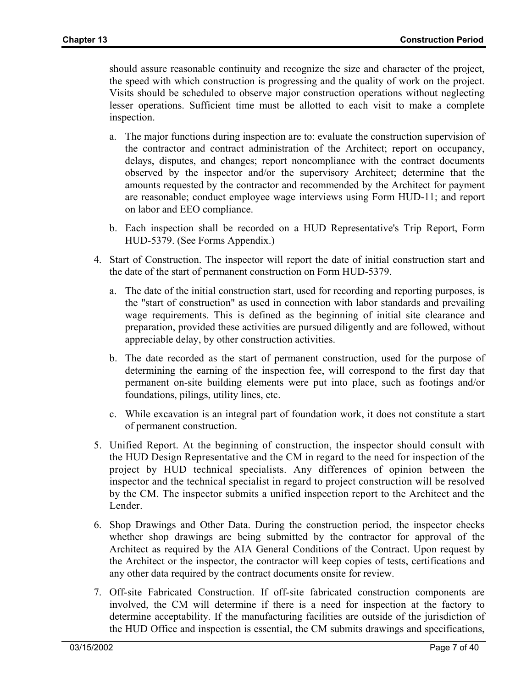should assure reasonable continuity and recognize the size and character of the project, the speed with which construction is progressing and the quality of work on the project. Visits should be scheduled to observe major construction operations without neglecting lesser operations. Sufficient time must be allotted to each visit to make a complete inspection.

- a. The major functions during inspection are to: evaluate the construction supervision of the contractor and contract administration of the Architect; report on occupancy, delays, disputes, and changes; report noncompliance with the contract documents observed by the inspector and/or the supervisory Architect; determine that the amounts requested by the contractor and recommended by the Architect for payment are reasonable; conduct employee wage interviews using Form HUD-11; and report on labor and EEO compliance.
- b. Each inspection shall be recorded on a HUD Representative's Trip Report, Form HUD-5379. (See Forms Appendix.)
- 4. Start of Construction. The inspector will report the date of initial construction start and the date of the start of permanent construction on Form HUD-5379.
	- a. The date of the initial construction start, used for recording and reporting purposes, is the "start of construction" as used in connection with labor standards and prevailing wage requirements. This is defined as the beginning of initial site clearance and preparation, provided these activities are pursued diligently and are followed, without appreciable delay, by other construction activities.
	- b. The date recorded as the start of permanent construction, used for the purpose of determining the earning of the inspection fee, will correspond to the first day that permanent on-site building elements were put into place, such as footings and/or foundations, pilings, utility lines, etc.
	- c. While excavation is an integral part of foundation work, it does not constitute a start of permanent construction.
- 5. Unified Report. At the beginning of construction, the inspector should consult with the HUD Design Representative and the CM in regard to the need for inspection of the project by HUD technical specialists. Any differences of opinion between the inspector and the technical specialist in regard to project construction will be resolved by the CM. The inspector submits a unified inspection report to the Architect and the Lender.
- 6. Shop Drawings and Other Data. During the construction period, the inspector checks whether shop drawings are being submitted by the contractor for approval of the Architect as required by the AIA General Conditions of the Contract. Upon request by the Architect or the inspector, the contractor will keep copies of tests, certifications and any other data required by the contract documents onsite for review.
- 7. Off-site Fabricated Construction. If off-site fabricated construction components are involved, the CM will determine if there is a need for inspection at the factory to determine acceptability. If the manufacturing facilities are outside of the jurisdiction of the HUD Office and inspection is essential, the CM submits drawings and specifications,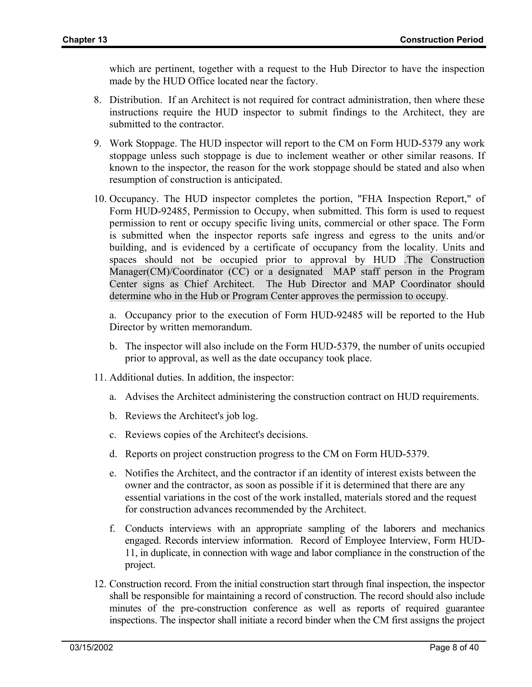which are pertinent, together with a request to the Hub Director to have the inspection made by the HUD Office located near the factory.

- 8. Distribution. If an Architect is not required for contract administration, then where these instructions require the HUD inspector to submit findings to the Architect, they are submitted to the contractor.
- 9. Work Stoppage. The HUD inspector will report to the CM on Form HUD-5379 any work stoppage unless such stoppage is due to inclement weather or other similar reasons. If known to the inspector, the reason for the work stoppage should be stated and also when resumption of construction is anticipated.
- 10. Occupancy. The HUD inspector completes the portion, "FHA Inspection Report," of Form HUD-92485, Permission to Occupy, when submitted. This form is used to request permission to rent or occupy specific living units, commercial or other space. The Form is submitted when the inspector reports safe ingress and egress to the units and/or building, and is evidenced by a certificate of occupancy from the locality. Units and spaces should not be occupied prior to approval by HUD .The Construction Manager(CM)/Coordinator (CC) or a designated MAP staff person in the Program Center signs as Chief Architect. The Hub Director and MAP Coordinator should determine who in the Hub or Program Center approves the permission to occupy.

a. Occupancy prior to the execution of Form HUD-92485 will be reported to the Hub Director by written memorandum.

- b. The inspector will also include on the Form HUD-5379, the number of units occupied prior to approval, as well as the date occupancy took place.
- 11. Additional duties. In addition, the inspector:
	- a. Advises the Architect administering the construction contract on HUD requirements.
	- b. Reviews the Architect's job log.
	- c. Reviews copies of the Architect's decisions.
	- d. Reports on project construction progress to the CM on Form HUD-5379.
	- e. Notifies the Architect, and the contractor if an identity of interest exists between the owner and the contractor, as soon as possible if it is determined that there are any essential variations in the cost of the work installed, materials stored and the request for construction advances recommended by the Architect.
	- f. Conducts interviews with an appropriate sampling of the laborers and mechanics engaged. Records interview information. Record of Employee Interview, Form HUD-11, in duplicate, in connection with wage and labor compliance in the construction of the project.
- 12. Construction record. From the initial construction start through final inspection, the inspector shall be responsible for maintaining a record of construction. The record should also include minutes of the pre-construction conference as well as reports of required guarantee inspections. The inspector shall initiate a record binder when the CM first assigns the project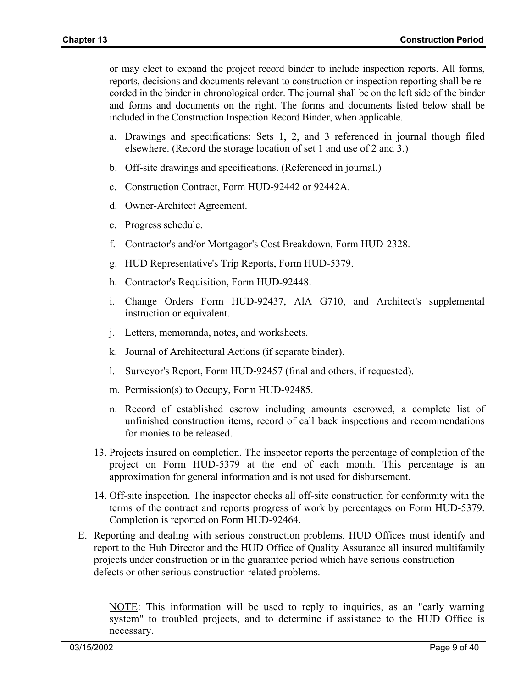or may elect to expand the project record binder to include inspection reports. All forms, reports, decisions and documents relevant to construction or inspection reporting shall be recorded in the binder in chronological order. The journal shall be on the left side of the binder and forms and documents on the right. The forms and documents listed below shall be included in the Construction Inspection Record Binder, when applicable.

- a. Drawings and specifications: Sets 1, 2, and 3 referenced in journal though filed elsewhere. (Record the storage location of set 1 and use of 2 and 3.)
- b. Off-site drawings and specifications. (Referenced in journal.)
- c. Construction Contract, Form HUD-92442 or 92442A.
- d. Owner-Architect Agreement.
- e. Progress schedule.
- f. Contractor's and/or Mortgagor's Cost Breakdown, Form HUD-2328.
- g. HUD Representative's Trip Reports, Form HUD-5379.
- h. Contractor's Requisition, Form HUD-92448.
- i. Change Orders Form HUD-92437, AlA G710, and Architect's supplemental instruction or equivalent.
- j. Letters, memoranda, notes, and worksheets.
- k. Journal of Architectural Actions (if separate binder).
- l. Surveyor's Report, Form HUD-92457 (final and others, if requested).
- m. Permission(s) to Occupy, Form HUD-92485.
- n. Record of established escrow including amounts escrowed, a complete list of unfinished construction items, record of call back inspections and recommendations for monies to be released.
- 13. Projects insured on completion. The inspector reports the percentage of completion of the project on Form HUD-5379 at the end of each month. This percentage is an approximation for general information and is not used for disbursement.
- 14. Off-site inspection. The inspector checks all off-site construction for conformity with the terms of the contract and reports progress of work by percentages on Form HUD-5379. Completion is reported on Form HUD-92464.
- E. Reporting and dealing with serious construction problems. HUD Offices must identify and report to the Hub Director and the HUD Office of Quality Assurance all insured multifamily projects under construction or in the guarantee period which have serious construction defects or other serious construction related problems.

NOTE: This information will be used to reply to inquiries, as an "early warning system" to troubled projects, and to determine if assistance to the HUD Office is necessary.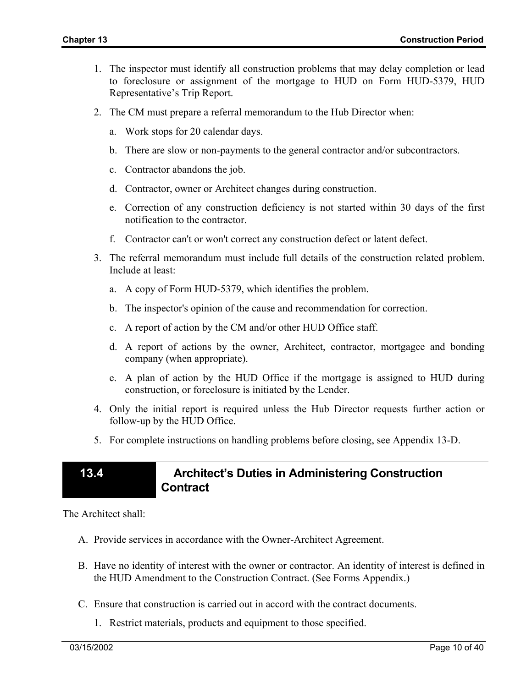- 1. The inspector must identify all construction problems that may delay completion or lead to foreclosure or assignment of the mortgage to HUD on Form HUD-5379, HUD Representative's Trip Report.
- 2. The CM must prepare a referral memorandum to the Hub Director when:
	- a. Work stops for 20 calendar days.
	- b. There are slow or non-payments to the general contractor and/or subcontractors.
	- c. Contractor abandons the job.
	- d. Contractor, owner or Architect changes during construction.
	- e. Correction of any construction deficiency is not started within 30 days of the first notification to the contractor.
	- f. Contractor can't or won't correct any construction defect or latent defect.
- 3. The referral memorandum must include full details of the construction related problem. Include at least:
	- a. A copy of Form HUD-5379, which identifies the problem.
	- b. The inspector's opinion of the cause and recommendation for correction.
	- c. A report of action by the CM and/or other HUD Office staff.
	- d. A report of actions by the owner, Architect, contractor, mortgagee and bonding company (when appropriate).
	- e. A plan of action by the HUD Office if the mortgage is assigned to HUD during construction, or foreclosure is initiated by the Lender.
- 4. Only the initial report is required unless the Hub Director requests further action or follow-up by the HUD Office.
- 5. For complete instructions on handling problems before closing, see Appendix 13-D.

# **13.4 Architect's Duties in Administering Construction Contract**

The Architect shall:

- A. Provide services in accordance with the Owner-Architect Agreement.
- B. Have no identity of interest with the owner or contractor. An identity of interest is defined in the HUD Amendment to the Construction Contract. (See Forms Appendix.)
- C. Ensure that construction is carried out in accord with the contract documents.
	- 1. Restrict materials, products and equipment to those specified.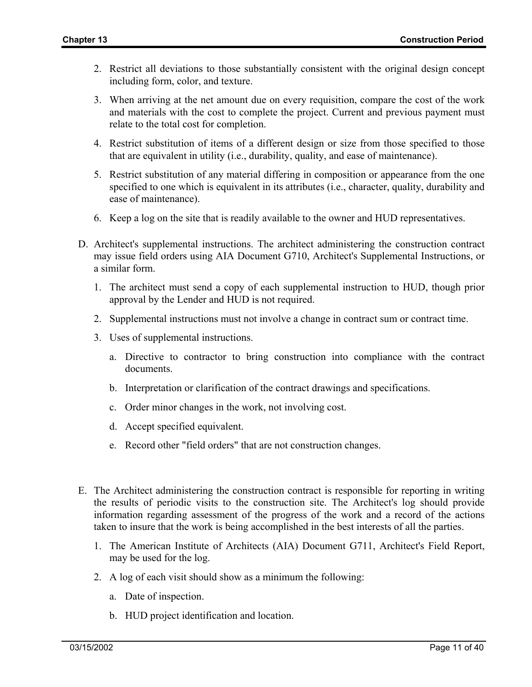- 2. Restrict all deviations to those substantially consistent with the original design concept including form, color, and texture.
- 3. When arriving at the net amount due on every requisition, compare the cost of the work and materials with the cost to complete the project. Current and previous payment must relate to the total cost for completion.
- 4. Restrict substitution of items of a different design or size from those specified to those that are equivalent in utility (i.e., durability, quality, and ease of maintenance).
- 5. Restrict substitution of any material differing in composition or appearance from the one specified to one which is equivalent in its attributes (i.e., character, quality, durability and ease of maintenance).
- 6. Keep a log on the site that is readily available to the owner and HUD representatives.
- D. Architect's supplemental instructions. The architect administering the construction contract may issue field orders using AIA Document G710, Architect's Supplemental Instructions, or a similar form.
	- 1. The architect must send a copy of each supplemental instruction to HUD, though prior approval by the Lender and HUD is not required.
	- 2. Supplemental instructions must not involve a change in contract sum or contract time.
	- 3. Uses of supplemental instructions.
		- a. Directive to contractor to bring construction into compliance with the contract documents.
		- b. Interpretation or clarification of the contract drawings and specifications.
		- c. Order minor changes in the work, not involving cost.
		- d. Accept specified equivalent.
		- e. Record other "field orders" that are not construction changes.
- E. The Architect administering the construction contract is responsible for reporting in writing the results of periodic visits to the construction site. The Architect's log should provide information regarding assessment of the progress of the work and a record of the actions taken to insure that the work is being accomplished in the best interests of all the parties.
	- 1. The American Institute of Architects (AIA) Document G711, Architect's Field Report, may be used for the log.
	- 2. A log of each visit should show as a minimum the following:
		- a. Date of inspection.
		- b. HUD project identification and location.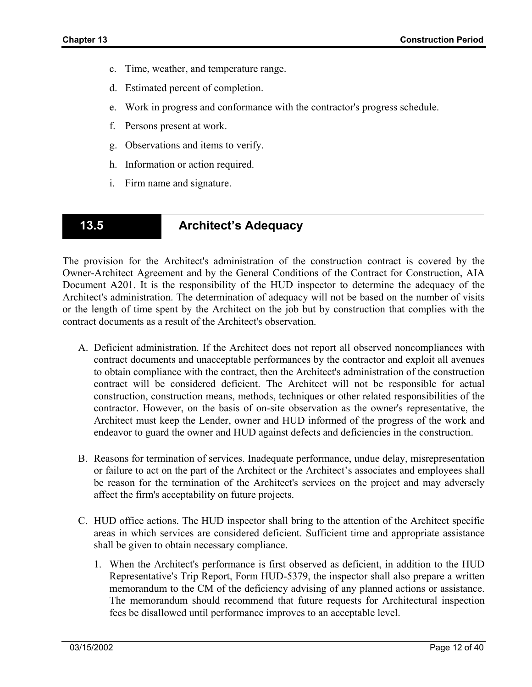- c. Time, weather, and temperature range.
- d. Estimated percent of completion.
- e. Work in progress and conformance with the contractor's progress schedule.
- f. Persons present at work.
- g. Observations and items to verify.
- h. Information or action required.
- i. Firm name and signature.

# **13.5 Architect's Adequacy**

The provision for the Architect's administration of the construction contract is covered by the Owner-Architect Agreement and by the General Conditions of the Contract for Construction, AIA Document A201. It is the responsibility of the HUD inspector to determine the adequacy of the Architect's administration. The determination of adequacy will not be based on the number of visits or the length of time spent by the Architect on the job but by construction that complies with the contract documents as a result of the Architect's observation.

- A. Deficient administration. If the Architect does not report all observed noncompliances with contract documents and unacceptable performances by the contractor and exploit all avenues to obtain compliance with the contract, then the Architect's administration of the construction contract will be considered deficient. The Architect will not be responsible for actual construction, construction means, methods, techniques or other related responsibilities of the contractor. However, on the basis of on-site observation as the owner's representative, the Architect must keep the Lender, owner and HUD informed of the progress of the work and endeavor to guard the owner and HUD against defects and deficiencies in the construction.
- B. Reasons for termination of services. Inadequate performance, undue delay, misrepresentation or failure to act on the part of the Architect or the Architect's associates and employees shall be reason for the termination of the Architect's services on the project and may adversely affect the firm's acceptability on future projects.
- C. HUD office actions. The HUD inspector shall bring to the attention of the Architect specific areas in which services are considered deficient. Sufficient time and appropriate assistance shall be given to obtain necessary compliance.
	- 1. When the Architect's performance is first observed as deficient, in addition to the HUD Representative's Trip Report, Form HUD-5379, the inspector shall also prepare a written memorandum to the CM of the deficiency advising of any planned actions or assistance. The memorandum should recommend that future requests for Architectural inspection fees be disallowed until performance improves to an acceptable level.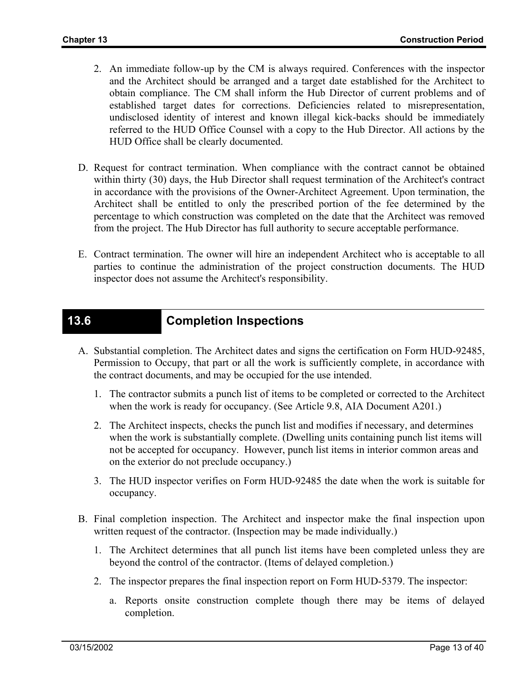- 2. An immediate follow-up by the CM is always required. Conferences with the inspector and the Architect should be arranged and a target date established for the Architect to obtain compliance. The CM shall inform the Hub Director of current problems and of established target dates for corrections. Deficiencies related to misrepresentation, undisclosed identity of interest and known illegal kick-backs should be immediately referred to the HUD Office Counsel with a copy to the Hub Director. All actions by the HUD Office shall be clearly documented.
- D. Request for contract termination. When compliance with the contract cannot be obtained within thirty (30) days, the Hub Director shall request termination of the Architect's contract in accordance with the provisions of the Owner-Architect Agreement. Upon termination, the Architect shall be entitled to only the prescribed portion of the fee determined by the percentage to which construction was completed on the date that the Architect was removed from the project. The Hub Director has full authority to secure acceptable performance.
- E. Contract termination. The owner will hire an independent Architect who is acceptable to all parties to continue the administration of the project construction documents. The HUD inspector does not assume the Architect's responsibility.

## **13.6 Completion Inspections**

- A. Substantial completion. The Architect dates and signs the certification on Form HUD-92485, Permission to Occupy, that part or all the work is sufficiently complete, in accordance with the contract documents, and may be occupied for the use intended.
	- 1. The contractor submits a punch list of items to be completed or corrected to the Architect when the work is ready for occupancy. (See Article 9.8, AIA Document A201.)
	- 2. The Architect inspects, checks the punch list and modifies if necessary, and determines when the work is substantially complete. (Dwelling units containing punch list items will not be accepted for occupancy. However, punch list items in interior common areas and on the exterior do not preclude occupancy.)
	- 3. The HUD inspector verifies on Form HUD-92485 the date when the work is suitable for occupancy.
- B. Final completion inspection. The Architect and inspector make the final inspection upon written request of the contractor. (Inspection may be made individually.)
	- 1. The Architect determines that all punch list items have been completed unless they are beyond the control of the contractor. (Items of delayed completion.)
	- 2. The inspector prepares the final inspection report on Form HUD-5379. The inspector:
		- a. Reports onsite construction complete though there may be items of delayed completion.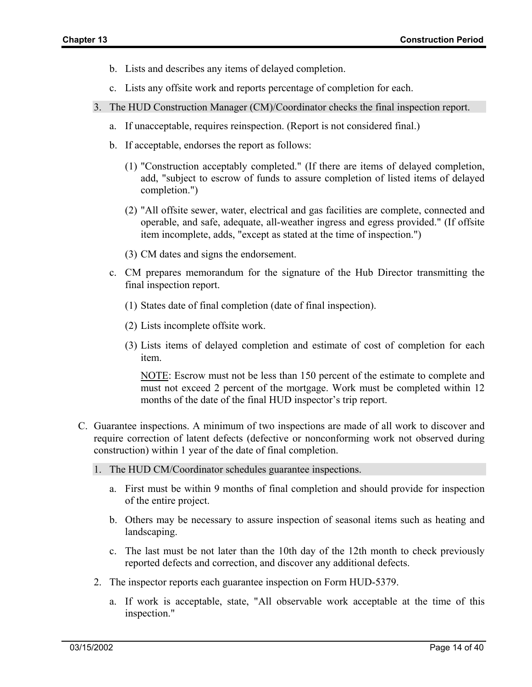- b. Lists and describes any items of delayed completion.
- c. Lists any offsite work and reports percentage of completion for each.
- 3. The HUD Construction Manager (CM)/Coordinator checks the final inspection report.
	- a. If unacceptable, requires reinspection. (Report is not considered final.)
	- b. If acceptable, endorses the report as follows:
		- (1) "Construction acceptably completed." (If there are items of delayed completion, add, "subject to escrow of funds to assure completion of listed items of delayed completion.")
		- (2) "All offsite sewer, water, electrical and gas facilities are complete, connected and operable, and safe, adequate, all-weather ingress and egress provided." (If offsite item incomplete, adds, "except as stated at the time of inspection.")
		- (3) CM dates and signs the endorsement.
	- c. CM prepares memorandum for the signature of the Hub Director transmitting the final inspection report.
		- (1) States date of final completion (date of final inspection).
		- (2) Lists incomplete offsite work.
		- (3) Lists items of delayed completion and estimate of cost of completion for each item.

NOTE: Escrow must not be less than 150 percent of the estimate to complete and must not exceed 2 percent of the mortgage. Work must be completed within 12 months of the date of the final HUD inspector's trip report.

- C. Guarantee inspections. A minimum of two inspections are made of all work to discover and require correction of latent defects (defective or nonconforming work not observed during construction) within 1 year of the date of final completion.
	- 1. The HUD CM/Coordinator schedules guarantee inspections.
		- a. First must be within 9 months of final completion and should provide for inspection of the entire project.
		- b. Others may be necessary to assure inspection of seasonal items such as heating and landscaping.
		- c. The last must be not later than the 10th day of the 12th month to check previously reported defects and correction, and discover any additional defects.
	- 2. The inspector reports each guarantee inspection on Form HUD-5379.
		- a. If work is acceptable, state, "All observable work acceptable at the time of this inspection."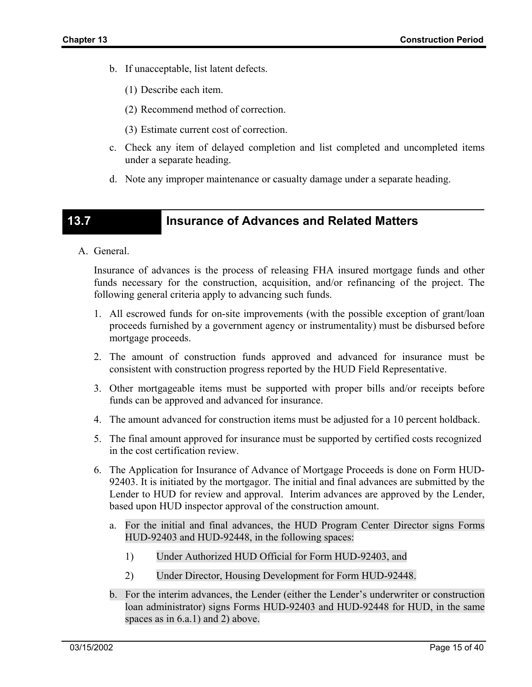- b. If unacceptable, list latent defects.
	- (1) Describe each item.
	- (2) Recommend method of correction.
	- (3) Estimate current cost of correction.
- c. Check any item of delayed completion and list completed and uncompleted items under a separate heading.
- d. Note any improper maintenance or casualty damage under a separate heading.

# **13.7 Insurance of Advances and Related Matters**

A. General.

Insurance of advances is the process of releasing FHA insured mortgage funds and other funds necessary for the construction, acquisition, and/or refinancing of the project. The following general criteria apply to advancing such funds.

- 1. All escrowed funds for on-site improvements (with the possible exception of grant/loan proceeds furnished by a government agency or instrumentality) must be disbursed before mortgage proceeds.
- 2. The amount of construction funds approved and advanced for insurance must be consistent with construction progress reported by the HUD Field Representative.
- 3. Other mortgageable items must be supported with proper bills and/or receipts before funds can be approved and advanced for insurance.
- 4. The amount advanced for construction items must be adjusted for a 10 percent holdback.
- 5. The final amount approved for insurance must be supported by certified costs recognized in the cost certification review.
- 6. The Application for Insurance of Advance of Mortgage Proceeds is done on Form HUD-92403. It is initiated by the mortgagor. The initial and final advances are submitted by the Lender to HUD for review and approval. Interim advances are approved by the Lender, based upon HUD inspector approval of the construction amount.
	- a. For the initial and final advances, the HUD Program Center Director signs Forms HUD-92403 and HUD-92448, in the following spaces:
		- 1) Under Authorized HUD Official for Form HUD-92403, and
		- 2) Under Director, Housing Development for Form HUD-92448.
	- b. For the interim advances, the Lender (either the Lender's underwriter or construction loan administrator) signs Forms HUD-92403 and HUD-92448 for HUD, in the same spaces as in 6.a.1) and 2) above.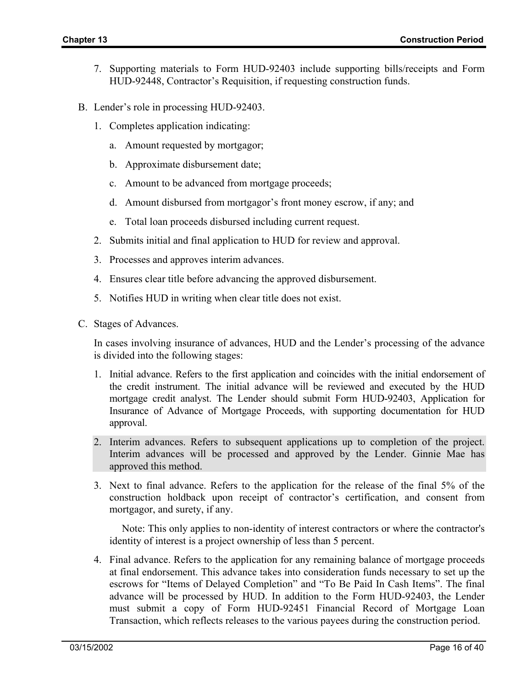- 7. Supporting materials to Form HUD-92403 include supporting bills/receipts and Form HUD-92448, Contractor's Requisition, if requesting construction funds.
- B. Lender's role in processing HUD-92403.
	- 1. Completes application indicating:
		- a. Amount requested by mortgagor;
		- b. Approximate disbursement date;
		- c. Amount to be advanced from mortgage proceeds;
		- d. Amount disbursed from mortgagor's front money escrow, if any; and
		- e. Total loan proceeds disbursed including current request.
	- 2. Submits initial and final application to HUD for review and approval.
	- 3. Processes and approves interim advances.
	- 4. Ensures clear title before advancing the approved disbursement.
	- 5. Notifies HUD in writing when clear title does not exist.
- C. Stages of Advances.

In cases involving insurance of advances, HUD and the Lender's processing of the advance is divided into the following stages:

- 1. Initial advance. Refers to the first application and coincides with the initial endorsement of the credit instrument. The initial advance will be reviewed and executed by the HUD mortgage credit analyst. The Lender should submit Form HUD-92403, Application for Insurance of Advance of Mortgage Proceeds, with supporting documentation for HUD approval.
- 2. Interim advances. Refers to subsequent applications up to completion of the project. Interim advances will be processed and approved by the Lender. Ginnie Mae has approved this method.
- 3. Next to final advance. Refers to the application for the release of the final 5% of the construction holdback upon receipt of contractor's certification, and consent from mortgagor, and surety, if any.

Note: This only applies to non-identity of interest contractors or where the contractor's identity of interest is a project ownership of less than 5 percent.

4. Final advance. Refers to the application for any remaining balance of mortgage proceeds at final endorsement. This advance takes into consideration funds necessary to set up the escrows for "Items of Delayed Completion" and "To Be Paid In Cash Items". The final advance will be processed by HUD. In addition to the Form HUD-92403, the Lender must submit a copy of Form HUD-92451 Financial Record of Mortgage Loan Transaction, which reflects releases to the various payees during the construction period.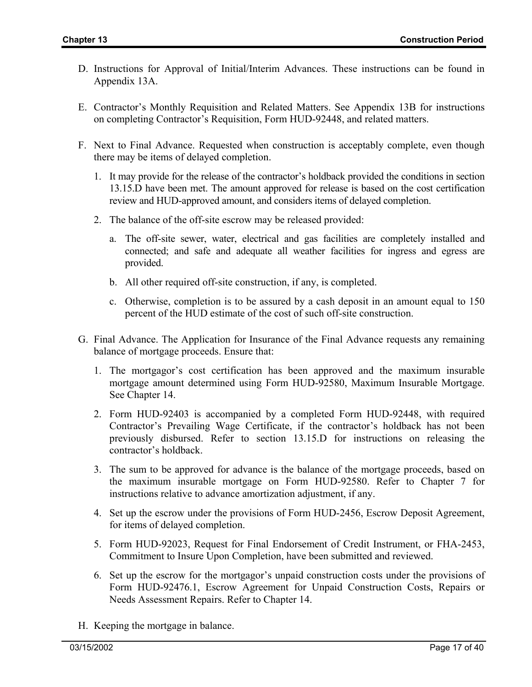- D. Instructions for Approval of Initial/Interim Advances. These instructions can be found in Appendix 13A.
- E. Contractor's Monthly Requisition and Related Matters. See Appendix 13B for instructions on completing Contractor's Requisition, Form HUD-92448, and related matters.
- F. Next to Final Advance. Requested when construction is acceptably complete, even though there may be items of delayed completion.
	- 1. It may provide for the release of the contractor's holdback provided the conditions in section 13.15.D have been met. The amount approved for release is based on the cost certification review and HUD-approved amount, and considers items of delayed completion.
	- 2. The balance of the off-site escrow may be released provided:
		- a. The off-site sewer, water, electrical and gas facilities are completely installed and connected; and safe and adequate all weather facilities for ingress and egress are provided.
		- b. All other required off-site construction, if any, is completed.
		- c. Otherwise, completion is to be assured by a cash deposit in an amount equal to 150 percent of the HUD estimate of the cost of such off-site construction.
- G. Final Advance. The Application for Insurance of the Final Advance requests any remaining balance of mortgage proceeds. Ensure that:
	- 1. The mortgagor's cost certification has been approved and the maximum insurable mortgage amount determined using Form HUD-92580, Maximum Insurable Mortgage. See Chapter 14.
	- 2. Form HUD-92403 is accompanied by a completed Form HUD-92448, with required Contractor's Prevailing Wage Certificate, if the contractor's holdback has not been previously disbursed. Refer to section 13.15.D for instructions on releasing the contractor's holdback.
	- 3. The sum to be approved for advance is the balance of the mortgage proceeds, based on the maximum insurable mortgage on Form HUD-92580. Refer to Chapter 7 for instructions relative to advance amortization adjustment, if any.
	- 4. Set up the escrow under the provisions of Form HUD-2456, Escrow Deposit Agreement, for items of delayed completion.
	- 5. Form HUD-92023, Request for Final Endorsement of Credit Instrument, or FHA-2453, Commitment to Insure Upon Completion, have been submitted and reviewed.
	- 6. Set up the escrow for the mortgagor's unpaid construction costs under the provisions of Form HUD-92476.1, Escrow Agreement for Unpaid Construction Costs, Repairs or Needs Assessment Repairs. Refer to Chapter 14.
- H. Keeping the mortgage in balance.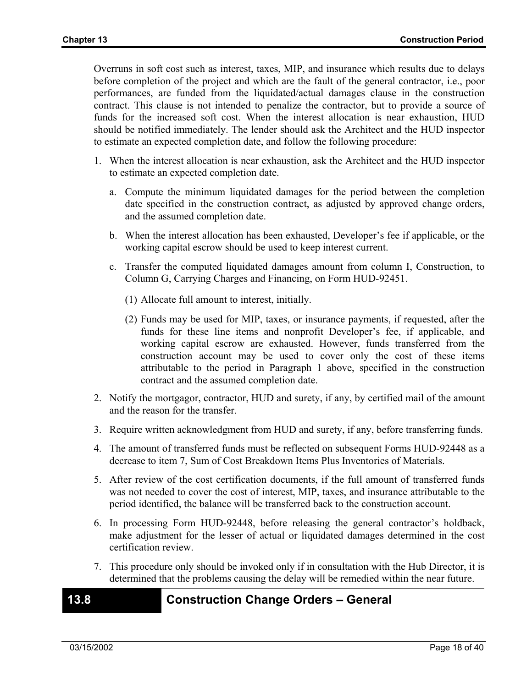Overruns in soft cost such as interest, taxes, MIP, and insurance which results due to delays before completion of the project and which are the fault of the general contractor, i.e., poor performances, are funded from the liquidated/actual damages clause in the construction contract. This clause is not intended to penalize the contractor, but to provide a source of funds for the increased soft cost. When the interest allocation is near exhaustion, HUD should be notified immediately. The lender should ask the Architect and the HUD inspector to estimate an expected completion date, and follow the following procedure:

- 1. When the interest allocation is near exhaustion, ask the Architect and the HUD inspector to estimate an expected completion date.
	- a. Compute the minimum liquidated damages for the period between the completion date specified in the construction contract, as adjusted by approved change orders, and the assumed completion date.
	- b. When the interest allocation has been exhausted, Developer's fee if applicable, or the working capital escrow should be used to keep interest current.
	- c. Transfer the computed liquidated damages amount from column I, Construction, to Column G, Carrying Charges and Financing, on Form HUD-92451.
		- (1) Allocate full amount to interest, initially.
		- (2) Funds may be used for MIP, taxes, or insurance payments, if requested, after the funds for these line items and nonprofit Developer's fee, if applicable, and working capital escrow are exhausted. However, funds transferred from the construction account may be used to cover only the cost of these items attributable to the period in Paragraph 1 above, specified in the construction contract and the assumed completion date.
- 2. Notify the mortgagor, contractor, HUD and surety, if any, by certified mail of the amount and the reason for the transfer.
- 3. Require written acknowledgment from HUD and surety, if any, before transferring funds.
- 4. The amount of transferred funds must be reflected on subsequent Forms HUD-92448 as a decrease to item 7, Sum of Cost Breakdown Items Plus Inventories of Materials.
- 5. After review of the cost certification documents, if the full amount of transferred funds was not needed to cover the cost of interest, MIP, taxes, and insurance attributable to the period identified, the balance will be transferred back to the construction account.
- 6. In processing Form HUD-92448, before releasing the general contractor's holdback, make adjustment for the lesser of actual or liquidated damages determined in the cost certification review.
- 7. This procedure only should be invoked only if in consultation with the Hub Director, it is determined that the problems causing the delay will be remedied within the near future.

### **13.8 Construction Change Orders – General**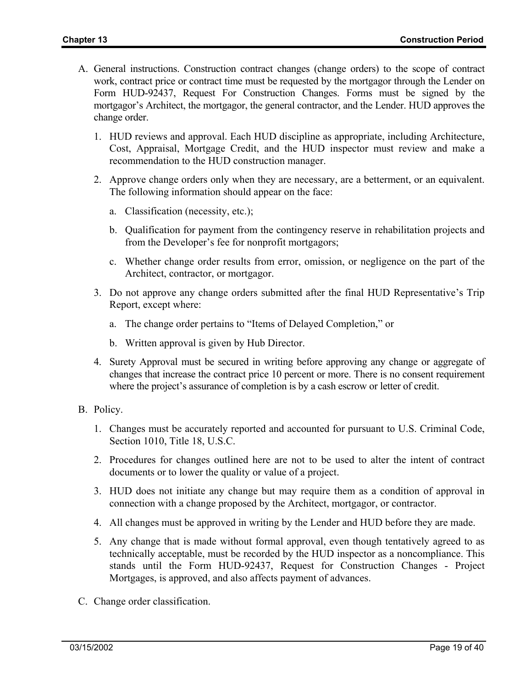- A. General instructions. Construction contract changes (change orders) to the scope of contract work, contract price or contract time must be requested by the mortgagor through the Lender on Form HUD-92437, Request For Construction Changes. Forms must be signed by the mortgagor's Architect, the mortgagor, the general contractor, and the Lender. HUD approves the change order.
	- 1. HUD reviews and approval. Each HUD discipline as appropriate, including Architecture, Cost, Appraisal, Mortgage Credit, and the HUD inspector must review and make a recommendation to the HUD construction manager.
	- 2. Approve change orders only when they are necessary, are a betterment, or an equivalent. The following information should appear on the face:
		- a. Classification (necessity, etc.);
		- b. Qualification for payment from the contingency reserve in rehabilitation projects and from the Developer's fee for nonprofit mortgagors;
		- c. Whether change order results from error, omission, or negligence on the part of the Architect, contractor, or mortgagor.
	- 3. Do not approve any change orders submitted after the final HUD Representative's Trip Report, except where:
		- a. The change order pertains to "Items of Delayed Completion," or
		- b. Written approval is given by Hub Director.
	- 4. Surety Approval must be secured in writing before approving any change or aggregate of changes that increase the contract price 10 percent or more. There is no consent requirement where the project's assurance of completion is by a cash escrow or letter of credit.
- B. Policy.
	- 1. Changes must be accurately reported and accounted for pursuant to U.S. Criminal Code, Section 1010, Title 18, U.S.C.
	- 2. Procedures for changes outlined here are not to be used to alter the intent of contract documents or to lower the quality or value of a project.
	- 3. HUD does not initiate any change but may require them as a condition of approval in connection with a change proposed by the Architect, mortgagor, or contractor.
	- 4. All changes must be approved in writing by the Lender and HUD before they are made.
	- 5. Any change that is made without formal approval, even though tentatively agreed to as technically acceptable, must be recorded by the HUD inspector as a noncompliance. This stands until the Form HUD-92437, Request for Construction Changes - Project Mortgages, is approved, and also affects payment of advances.
- C. Change order classification.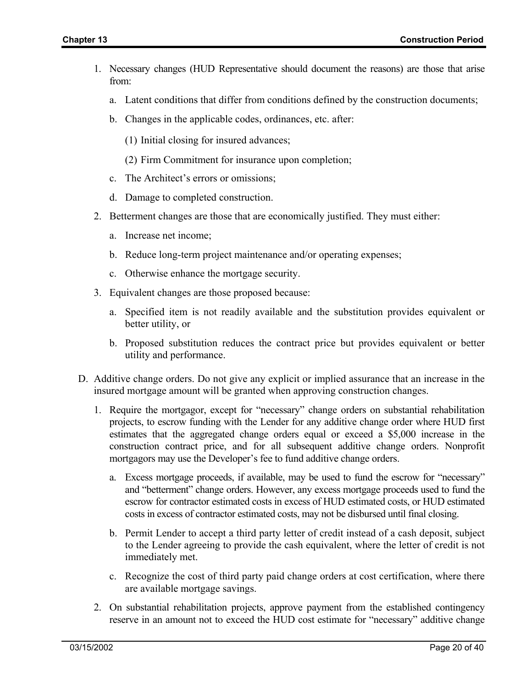- 1. Necessary changes (HUD Representative should document the reasons) are those that arise from:
	- a. Latent conditions that differ from conditions defined by the construction documents;
	- b. Changes in the applicable codes, ordinances, etc. after:
		- (1) Initial closing for insured advances;
		- (2) Firm Commitment for insurance upon completion;
	- c. The Architect's errors or omissions;
	- d. Damage to completed construction.
- 2. Betterment changes are those that are economically justified. They must either:
	- a. Increase net income;
	- b. Reduce long-term project maintenance and/or operating expenses;
	- c. Otherwise enhance the mortgage security.
- 3. Equivalent changes are those proposed because:
	- a. Specified item is not readily available and the substitution provides equivalent or better utility, or
	- b. Proposed substitution reduces the contract price but provides equivalent or better utility and performance.
- D. Additive change orders. Do not give any explicit or implied assurance that an increase in the insured mortgage amount will be granted when approving construction changes.
	- 1. Require the mortgagor, except for "necessary" change orders on substantial rehabilitation projects, to escrow funding with the Lender for any additive change order where HUD first estimates that the aggregated change orders equal or exceed a \$5,000 increase in the construction contract price, and for all subsequent additive change orders. Nonprofit mortgagors may use the Developer's fee to fund additive change orders.
		- a. Excess mortgage proceeds, if available, may be used to fund the escrow for "necessary" and "betterment" change orders. However, any excess mortgage proceeds used to fund the escrow for contractor estimated costs in excess of HUD estimated costs, or HUD estimated costs in excess of contractor estimated costs, may not be disbursed until final closing.
		- b. Permit Lender to accept a third party letter of credit instead of a cash deposit, subject to the Lender agreeing to provide the cash equivalent, where the letter of credit is not immediately met.
		- c. Recognize the cost of third party paid change orders at cost certification, where there are available mortgage savings.
	- 2. On substantial rehabilitation projects, approve payment from the established contingency reserve in an amount not to exceed the HUD cost estimate for "necessary" additive change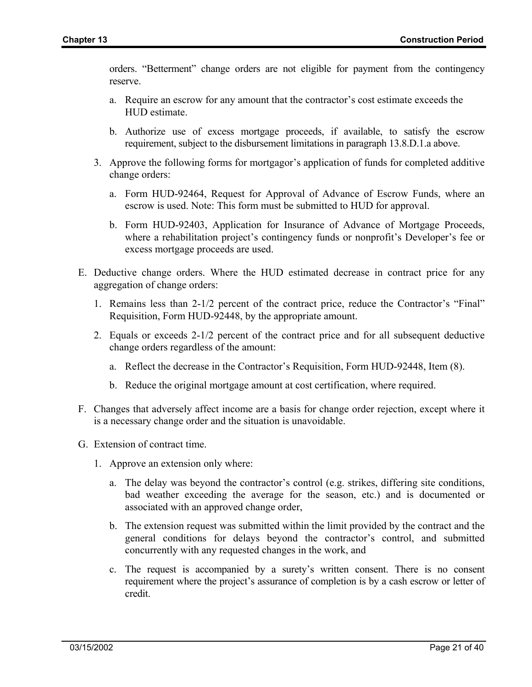orders. "Betterment" change orders are not eligible for payment from the contingency reserve.

- a. Require an escrow for any amount that the contractor's cost estimate exceeds the HUD estimate.
- b. Authorize use of excess mortgage proceeds, if available, to satisfy the escrow requirement, subject to the disbursement limitations in paragraph 13.8.D.1.a above.
- 3. Approve the following forms for mortgagor's application of funds for completed additive change orders:
	- a. Form HUD-92464, Request for Approval of Advance of Escrow Funds, where an escrow is used. Note: This form must be submitted to HUD for approval.
	- b. Form HUD-92403, Application for Insurance of Advance of Mortgage Proceeds, where a rehabilitation project's contingency funds or nonprofit's Developer's fee or excess mortgage proceeds are used.
- E. Deductive change orders. Where the HUD estimated decrease in contract price for any aggregation of change orders:
	- 1. Remains less than 2-1/2 percent of the contract price, reduce the Contractor's "Final" Requisition, Form HUD-92448, by the appropriate amount.
	- 2. Equals or exceeds 2-1/2 percent of the contract price and for all subsequent deductive change orders regardless of the amount:
		- a. Reflect the decrease in the Contractor's Requisition, Form HUD-92448, Item (8).
		- b. Reduce the original mortgage amount at cost certification, where required.
- F. Changes that adversely affect income are a basis for change order rejection, except where it is a necessary change order and the situation is unavoidable.
- G. Extension of contract time.
	- 1. Approve an extension only where:
		- a. The delay was beyond the contractor's control (e.g. strikes, differing site conditions, bad weather exceeding the average for the season, etc.) and is documented or associated with an approved change order,
		- b. The extension request was submitted within the limit provided by the contract and the general conditions for delays beyond the contractor's control, and submitted concurrently with any requested changes in the work, and
		- c. The request is accompanied by a surety's written consent. There is no consent requirement where the project's assurance of completion is by a cash escrow or letter of credit.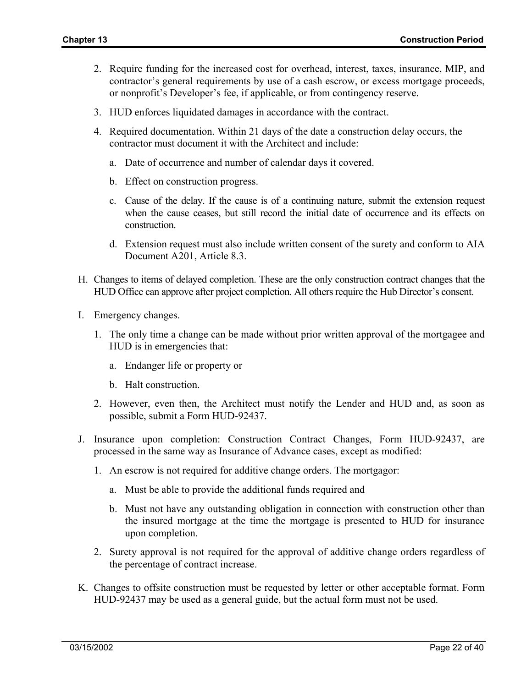- 2. Require funding for the increased cost for overhead, interest, taxes, insurance, MIP, and contractor's general requirements by use of a cash escrow, or excess mortgage proceeds, or nonprofit's Developer's fee, if applicable, or from contingency reserve.
- 3. HUD enforces liquidated damages in accordance with the contract.
- 4. Required documentation. Within 21 days of the date a construction delay occurs, the contractor must document it with the Architect and include:
	- a. Date of occurrence and number of calendar days it covered.
	- b. Effect on construction progress.
	- c. Cause of the delay. If the cause is of a continuing nature, submit the extension request when the cause ceases, but still record the initial date of occurrence and its effects on construction.
	- d. Extension request must also include written consent of the surety and conform to AIA Document A201, Article 8.3.
- H. Changes to items of delayed completion. These are the only construction contract changes that the HUD Office can approve after project completion. All others require the Hub Director's consent.
- I. Emergency changes.
	- 1. The only time a change can be made without prior written approval of the mortgagee and HUD is in emergencies that:
		- a. Endanger life or property or
		- b. Halt construction.
	- 2. However, even then, the Architect must notify the Lender and HUD and, as soon as possible, submit a Form HUD-92437.
- J. Insurance upon completion: Construction Contract Changes, Form HUD-92437, are processed in the same way as Insurance of Advance cases, except as modified:
	- 1. An escrow is not required for additive change orders. The mortgagor:
		- a. Must be able to provide the additional funds required and
		- b. Must not have any outstanding obligation in connection with construction other than the insured mortgage at the time the mortgage is presented to HUD for insurance upon completion.
	- 2. Surety approval is not required for the approval of additive change orders regardless of the percentage of contract increase.
- K. Changes to offsite construction must be requested by letter or other acceptable format. Form HUD-92437 may be used as a general guide, but the actual form must not be used.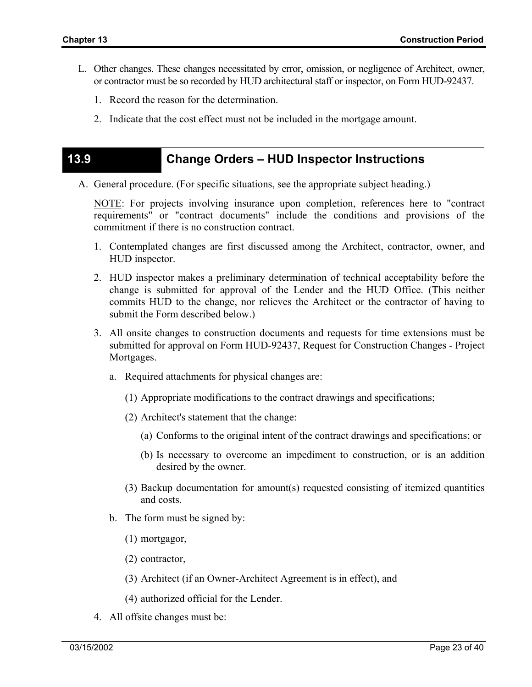- L. Other changes. These changes necessitated by error, omission, or negligence of Architect, owner, or contractor must be so recorded by HUD architectural staff or inspector, on Form HUD-92437.
	- 1. Record the reason for the determination.
	- 2. Indicate that the cost effect must not be included in the mortgage amount.

#### **13.9 Change Orders – HUD Inspector Instructions**

A. General procedure. (For specific situations, see the appropriate subject heading.)

NOTE: For projects involving insurance upon completion, references here to "contract requirements" or "contract documents" include the conditions and provisions of the commitment if there is no construction contract.

- 1. Contemplated changes are first discussed among the Architect, contractor, owner, and HUD inspector.
- 2. HUD inspector makes a preliminary determination of technical acceptability before the change is submitted for approval of the Lender and the HUD Office. (This neither commits HUD to the change, nor relieves the Architect or the contractor of having to submit the Form described below.)
- 3. All onsite changes to construction documents and requests for time extensions must be submitted for approval on Form HUD-92437, Request for Construction Changes - Project Mortgages.
	- a. Required attachments for physical changes are:
		- (1) Appropriate modifications to the contract drawings and specifications;
		- (2) Architect's statement that the change:
			- (a) Conforms to the original intent of the contract drawings and specifications; or
			- (b) Is necessary to overcome an impediment to construction, or is an addition desired by the owner.
		- (3) Backup documentation for amount(s) requested consisting of itemized quantities and costs.
	- b. The form must be signed by:
		- (1) mortgagor,
		- (2) contractor,
		- (3) Architect (if an Owner-Architect Agreement is in effect), and
		- (4) authorized official for the Lender.
- 4. All offsite changes must be: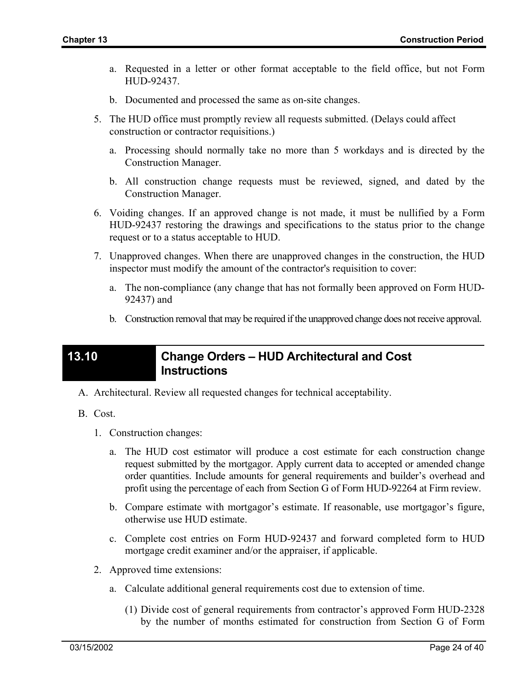- a. Requested in a letter or other format acceptable to the field office, but not Form HUD-92437.
- b. Documented and processed the same as on-site changes.
- 5. The HUD office must promptly review all requests submitted. (Delays could affect construction or contractor requisitions.)
	- a. Processing should normally take no more than 5 workdays and is directed by the Construction Manager.
	- b. All construction change requests must be reviewed, signed, and dated by the Construction Manager.
- 6. Voiding changes. If an approved change is not made, it must be nullified by a Form HUD-92437 restoring the drawings and specifications to the status prior to the change request or to a status acceptable to HUD.
- 7. Unapproved changes. When there are unapproved changes in the construction, the HUD inspector must modify the amount of the contractor's requisition to cover:
	- a. The non-compliance (any change that has not formally been approved on Form HUD-92437) and
	- b. Construction removal that may be required if the unapproved change does not receive approval.

## **13.10 Change Orders – HUD Architectural and Cost Instructions**

- A. Architectural. Review all requested changes for technical acceptability.
- B. Cost.
	- 1. Construction changes:
		- a. The HUD cost estimator will produce a cost estimate for each construction change request submitted by the mortgagor. Apply current data to accepted or amended change order quantities. Include amounts for general requirements and builder's overhead and profit using the percentage of each from Section G of Form HUD-92264 at Firm review.
		- b. Compare estimate with mortgagor's estimate. If reasonable, use mortgagor's figure, otherwise use HUD estimate.
		- c. Complete cost entries on Form HUD-92437 and forward completed form to HUD mortgage credit examiner and/or the appraiser, if applicable.
	- 2. Approved time extensions:
		- a. Calculate additional general requirements cost due to extension of time.
			- (1) Divide cost of general requirements from contractor's approved Form HUD-2328 by the number of months estimated for construction from Section G of Form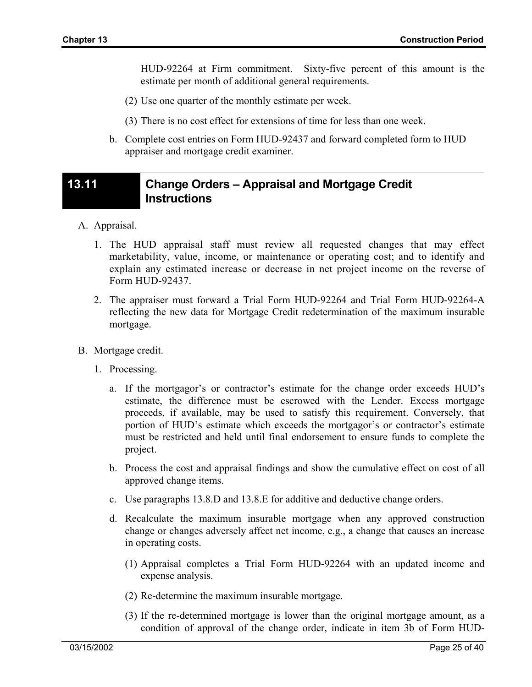HUD-92264 at Firm commitment. Sixty-five percent of this amount is the estimate per month of additional general requirements.

- (2) Use one quarter of the monthly estimate per week.
- (3) There is no cost effect for extensions of time for less than one week.
- b. Complete cost entries on Form HUD-92437 and forward completed form to HUD appraiser and mortgage credit examiner.

### **13.11 Change Orders – Appraisal and Mortgage Credit Instructions**

- A. Appraisal.
	- 1. The HUD appraisal staff must review all requested changes that may effect marketability, value, income, or maintenance or operating cost; and to identify and explain any estimated increase or decrease in net project income on the reverse of Form HUD-92437.
	- 2. The appraiser must forward a Trial Form HUD-92264 and Trial Form HUD-92264-A reflecting the new data for Mortgage Credit redetermination of the maximum insurable mortgage.
- B. Mortgage credit.
	- 1. Processing.
		- a. If the mortgagor's or contractor's estimate for the change order exceeds HUD's estimate, the difference must be escrowed with the Lender. Excess mortgage proceeds, if available, may be used to satisfy this requirement. Conversely, that portion of HUD's estimate which exceeds the mortgagor's or contractor's estimate must be restricted and held until final endorsement to ensure funds to complete the project.
		- b. Process the cost and appraisal findings and show the cumulative effect on cost of all approved change items.
		- c. Use paragraphs 13.8.D and 13.8.E for additive and deductive change orders.
		- d. Recalculate the maximum insurable mortgage when any approved construction change or changes adversely affect net income, e.g., a change that causes an increase in operating costs.
			- (1) Appraisal completes a Trial Form HUD-92264 with an updated income and expense analysis.
			- (2) Re-determine the maximum insurable mortgage.
			- (3) If the re-determined mortgage is lower than the original mortgage amount, as a condition of approval of the change order, indicate in item 3b of Form HUD-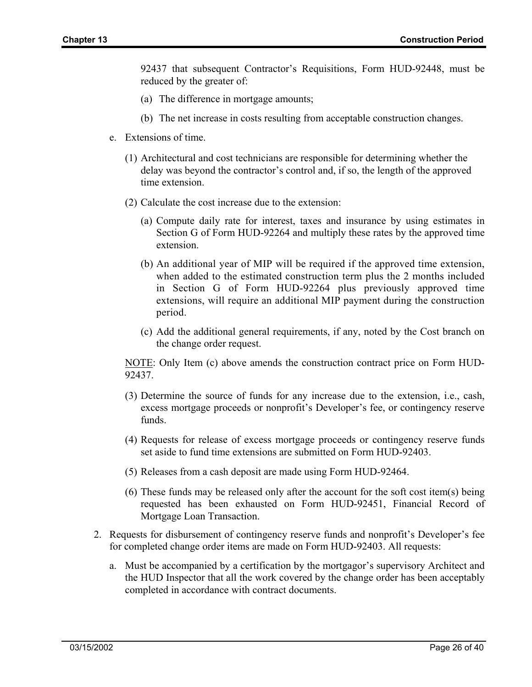92437 that subsequent Contractor's Requisitions, Form HUD-92448, must be reduced by the greater of:

- (a) The difference in mortgage amounts;
- (b) The net increase in costs resulting from acceptable construction changes.
- e. Extensions of time.
	- (1) Architectural and cost technicians are responsible for determining whether the delay was beyond the contractor's control and, if so, the length of the approved time extension.
	- (2) Calculate the cost increase due to the extension:
		- (a) Compute daily rate for interest, taxes and insurance by using estimates in Section G of Form HUD-92264 and multiply these rates by the approved time extension.
		- (b) An additional year of MIP will be required if the approved time extension, when added to the estimated construction term plus the 2 months included in Section G of Form HUD-92264 plus previously approved time extensions, will require an additional MIP payment during the construction period.
		- (c) Add the additional general requirements, if any, noted by the Cost branch on the change order request.

NOTE: Only Item (c) above amends the construction contract price on Form HUD-92437.

- (3) Determine the source of funds for any increase due to the extension, i.e., cash, excess mortgage proceeds or nonprofit's Developer's fee, or contingency reserve funds.
- (4) Requests for release of excess mortgage proceeds or contingency reserve funds set aside to fund time extensions are submitted on Form HUD-92403.
- (5) Releases from a cash deposit are made using Form HUD-92464.
- (6) These funds may be released only after the account for the soft cost item(s) being requested has been exhausted on Form HUD-92451, Financial Record of Mortgage Loan Transaction.
- 2. Requests for disbursement of contingency reserve funds and nonprofit's Developer's fee for completed change order items are made on Form HUD-92403. All requests:
	- a. Must be accompanied by a certification by the mortgagor's supervisory Architect and the HUD Inspector that all the work covered by the change order has been acceptably completed in accordance with contract documents.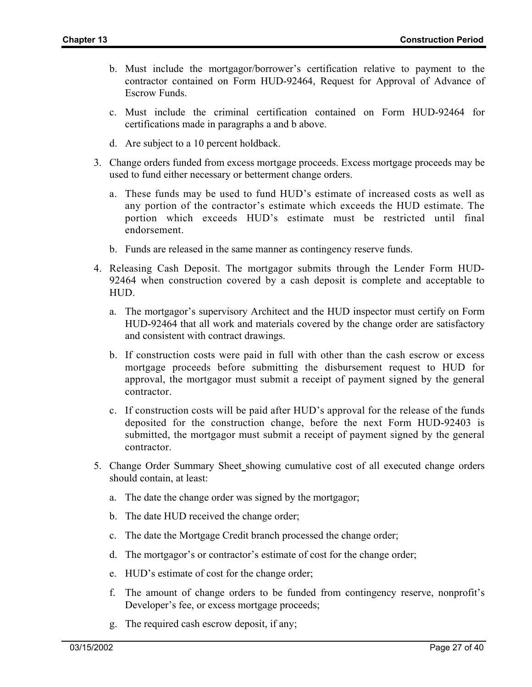- b. Must include the mortgagor/borrower's certification relative to payment to the contractor contained on Form HUD-92464, Request for Approval of Advance of Escrow Funds.
- c. Must include the criminal certification contained on Form HUD-92464 for certifications made in paragraphs a and b above.
- d. Are subject to a 10 percent holdback.
- 3. Change orders funded from excess mortgage proceeds. Excess mortgage proceeds may be used to fund either necessary or betterment change orders.
	- a. These funds may be used to fund HUD's estimate of increased costs as well as any portion of the contractor's estimate which exceeds the HUD estimate. The portion which exceeds HUD's estimate must be restricted until final endorsement.
	- b. Funds are released in the same manner as contingency reserve funds.
- 4. Releasing Cash Deposit. The mortgagor submits through the Lender Form HUD-92464 when construction covered by a cash deposit is complete and acceptable to HUD.
	- a. The mortgagor's supervisory Architect and the HUD inspector must certify on Form HUD-92464 that all work and materials covered by the change order are satisfactory and consistent with contract drawings.
	- b. If construction costs were paid in full with other than the cash escrow or excess mortgage proceeds before submitting the disbursement request to HUD for approval, the mortgagor must submit a receipt of payment signed by the general contractor.
	- c. If construction costs will be paid after HUD's approval for the release of the funds deposited for the construction change, before the next Form HUD-92403 is submitted, the mortgagor must submit a receipt of payment signed by the general contractor.
- 5. Change Order Summary Sheet\_showing cumulative cost of all executed change orders should contain, at least:
	- a. The date the change order was signed by the mortgagor;
	- b. The date HUD received the change order;
	- c. The date the Mortgage Credit branch processed the change order;
	- d. The mortgagor's or contractor's estimate of cost for the change order;
	- e. HUD's estimate of cost for the change order;
	- f. The amount of change orders to be funded from contingency reserve, nonprofit's Developer's fee, or excess mortgage proceeds;
	- g. The required cash escrow deposit, if any;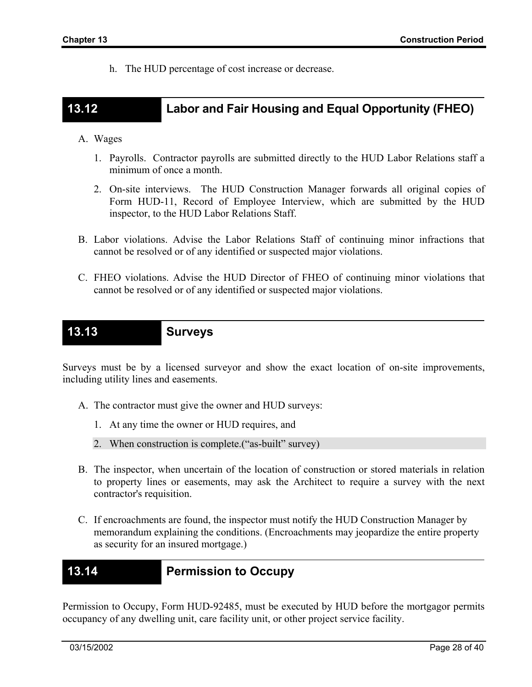h. The HUD percentage of cost increase or decrease.

# **13.12 Labor and Fair Housing and Equal Opportunity (FHEO)**

#### A. Wages

- 1. Payrolls. Contractor payrolls are submitted directly to the HUD Labor Relations staff a minimum of once a month.
- 2. On-site interviews. The HUD Construction Manager forwards all original copies of Form HUD-11, Record of Employee Interview, which are submitted by the HUD inspector, to the HUD Labor Relations Staff.
- B. Labor violations. Advise the Labor Relations Staff of continuing minor infractions that cannot be resolved or of any identified or suspected major violations.
- C. FHEO violations. Advise the HUD Director of FHEO of continuing minor violations that cannot be resolved or of any identified or suspected major violations.

# **13.13 Surveys**

Surveys must be by a licensed surveyor and show the exact location of on-site improvements, including utility lines and easements.

- A. The contractor must give the owner and HUD surveys:
	- 1. At any time the owner or HUD requires, and
	- 2. When construction is complete.("as-built" survey)
- B. The inspector, when uncertain of the location of construction or stored materials in relation to property lines or easements, may ask the Architect to require a survey with the next contractor's requisition.
- C. If encroachments are found, the inspector must notify the HUD Construction Manager by memorandum explaining the conditions. (Encroachments may jeopardize the entire property as security for an insured mortgage.)

### **13.14 Permission to Occupy**

Permission to Occupy, Form HUD-92485, must be executed by HUD before the mortgagor permits occupancy of any dwelling unit, care facility unit, or other project service facility.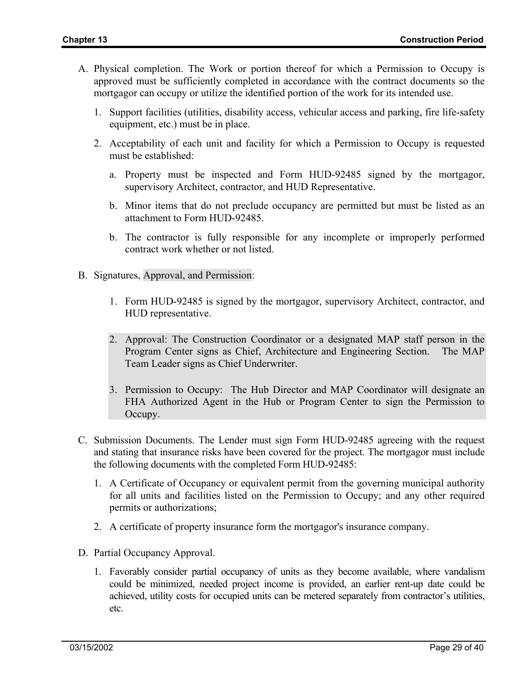- A. Physical completion. The Work or portion thereof for which a Permission to Occupy is approved must be sufficiently completed in accordance with the contract documents so the mortgagor can occupy or utilize the identified portion of the work for its intended use.
	- 1. Support facilities (utilities, disability access, vehicular access and parking, fire life-safety equipment, etc.) must be in place.
	- 2. Acceptability of each unit and facility for which a Permission to Occupy is requested must be established:
		- a. Property must be inspected and Form HUD-92485 signed by the mortgagor, supervisory Architect, contractor, and HUD Representative.
		- b. Minor items that do not preclude occupancy are permitted but must be listed as an attachment to Form HUD-92485.
		- b. The contractor is fully responsible for any incomplete or improperly performed contract work whether or not listed.
- B. Signatures, Approval, and Permission:
	- 1. Form HUD-92485 is signed by the mortgagor, supervisory Architect, contractor, and HUD representative.
	- 2. Approval: The Construction Coordinator or a designated MAP staff person in the Program Center signs as Chief, Architecture and Engineering Section. The MAP Team Leader signs as Chief Underwriter.
	- 3. Permission to Occupy: The Hub Director and MAP Coordinator will designate an FHA Authorized Agent in the Hub or Program Center to sign the Permission to Occupy.
- C. Submission Documents. The Lender must sign Form HUD-92485 agreeing with the request and stating that insurance risks have been covered for the project. The mortgagor must include the following documents with the completed Form HUD-92485:
	- 1. A Certificate of Occupancy or equivalent permit from the governing municipal authority for all units and facilities listed on the Permission to Occupy; and any other required permits or authorizations;
	- 2. A certificate of property insurance form the mortgagor's insurance company.
- D. Partial Occupancy Approval.
	- 1. Favorably consider partial occupancy of units as they become available, where vandalism could be minimized, needed project income is provided, an earlier rent-up date could be achieved, utility costs for occupied units can be metered separately from contractor's utilities, etc.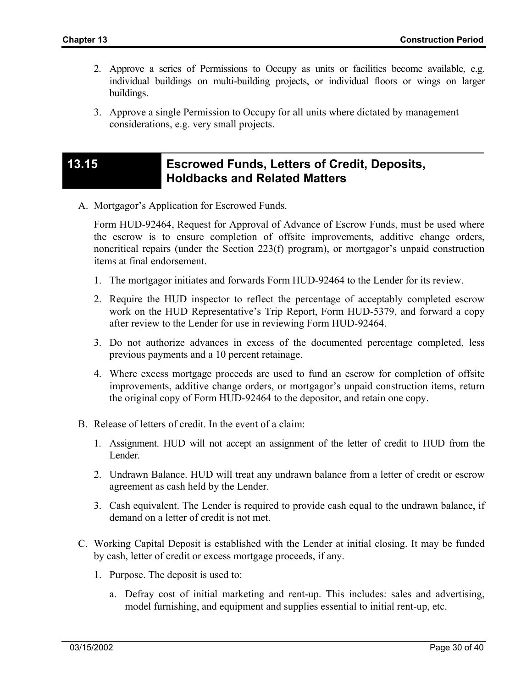- 2. Approve a series of Permissions to Occupy as units or facilities become available, e.g. individual buildings on multi-building projects, or individual floors or wings on larger buildings.
- 3. Approve a single Permission to Occupy for all units where dictated by management considerations, e.g. very small projects.

## **13.15 Escrowed Funds, Letters of Credit, Deposits, Holdbacks and Related Matters**

A. Mortgagor's Application for Escrowed Funds.

Form HUD-92464, Request for Approval of Advance of Escrow Funds, must be used where the escrow is to ensure completion of offsite improvements, additive change orders, noncritical repairs (under the Section 223(f) program), or mortgagor's unpaid construction items at final endorsement.

- 1. The mortgagor initiates and forwards Form HUD-92464 to the Lender for its review.
- 2. Require the HUD inspector to reflect the percentage of acceptably completed escrow work on the HUD Representative's Trip Report, Form HUD-5379, and forward a copy after review to the Lender for use in reviewing Form HUD-92464.
- 3. Do not authorize advances in excess of the documented percentage completed, less previous payments and a 10 percent retainage.
- 4. Where excess mortgage proceeds are used to fund an escrow for completion of offsite improvements, additive change orders, or mortgagor's unpaid construction items, return the original copy of Form HUD-92464 to the depositor, and retain one copy.
- B. Release of letters of credit. In the event of a claim:
	- 1. Assignment. HUD will not accept an assignment of the letter of credit to HUD from the Lender.
	- 2. Undrawn Balance. HUD will treat any undrawn balance from a letter of credit or escrow agreement as cash held by the Lender.
	- 3. Cash equivalent. The Lender is required to provide cash equal to the undrawn balance, if demand on a letter of credit is not met.
- C. Working Capital Deposit is established with the Lender at initial closing. It may be funded by cash, letter of credit or excess mortgage proceeds, if any.
	- 1. Purpose. The deposit is used to:
		- a. Defray cost of initial marketing and rent-up. This includes: sales and advertising, model furnishing, and equipment and supplies essential to initial rent-up, etc.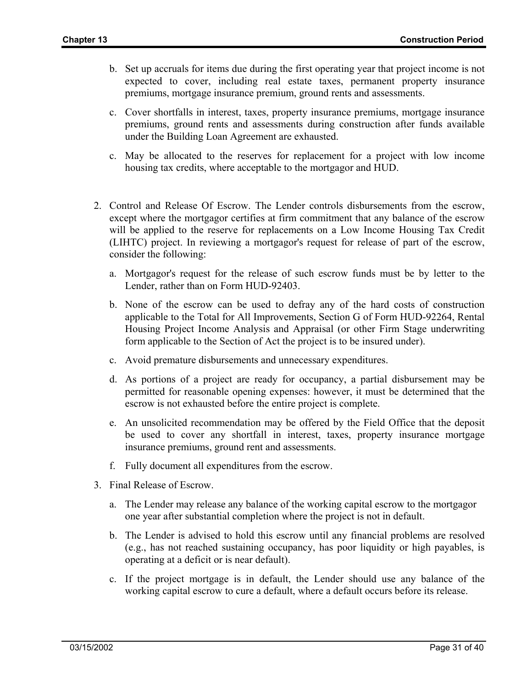- b. Set up accruals for items due during the first operating year that project income is not expected to cover, including real estate taxes, permanent property insurance premiums, mortgage insurance premium, ground rents and assessments.
- c. Cover shortfalls in interest, taxes, property insurance premiums, mortgage insurance premiums, ground rents and assessments during construction after funds available under the Building Loan Agreement are exhausted.
- c. May be allocated to the reserves for replacement for a project with low income housing tax credits, where acceptable to the mortgagor and HUD.
- 2. Control and Release Of Escrow. The Lender controls disbursements from the escrow, except where the mortgagor certifies at firm commitment that any balance of the escrow will be applied to the reserve for replacements on a Low Income Housing Tax Credit (LIHTC) project. In reviewing a mortgagor's request for release of part of the escrow, consider the following:
	- a. Mortgagor's request for the release of such escrow funds must be by letter to the Lender, rather than on Form HUD-92403.
	- b. None of the escrow can be used to defray any of the hard costs of construction applicable to the Total for All Improvements, Section G of Form HUD-92264, Rental Housing Project Income Analysis and Appraisal (or other Firm Stage underwriting form applicable to the Section of Act the project is to be insured under).
	- c. Avoid premature disbursements and unnecessary expenditures.
	- d. As portions of a project are ready for occupancy, a partial disbursement may be permitted for reasonable opening expenses: however, it must be determined that the escrow is not exhausted before the entire project is complete.
	- e. An unsolicited recommendation may be offered by the Field Office that the deposit be used to cover any shortfall in interest, taxes, property insurance mortgage insurance premiums, ground rent and assessments.
	- f. Fully document all expenditures from the escrow.
- 3. Final Release of Escrow.
	- a. The Lender may release any balance of the working capital escrow to the mortgagor one year after substantial completion where the project is not in default.
	- b. The Lender is advised to hold this escrow until any financial problems are resolved (e.g., has not reached sustaining occupancy, has poor liquidity or high payables, is operating at a deficit or is near default).
	- c. If the project mortgage is in default, the Lender should use any balance of the working capital escrow to cure a default, where a default occurs before its release.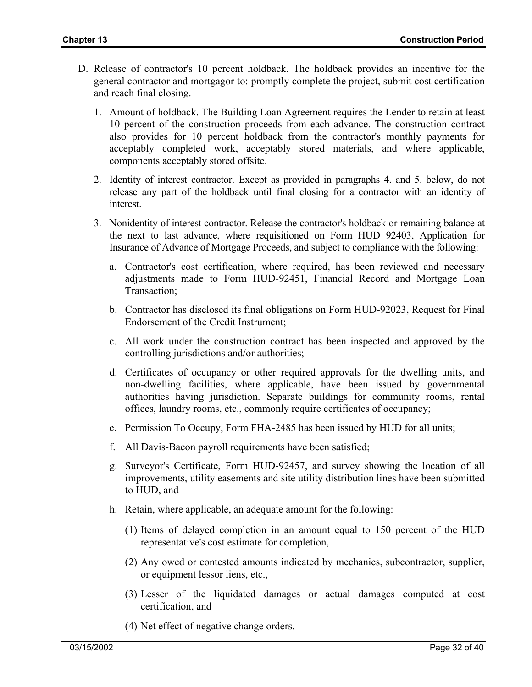- D. Release of contractor's 10 percent holdback. The holdback provides an incentive for the general contractor and mortgagor to: promptly complete the project, submit cost certification and reach final closing.
	- 1. Amount of holdback. The Building Loan Agreement requires the Lender to retain at least 10 percent of the construction proceeds from each advance. The construction contract also provides for 10 percent holdback from the contractor's monthly payments for acceptably completed work, acceptably stored materials, and where applicable, components acceptably stored offsite.
	- 2. Identity of interest contractor. Except as provided in paragraphs 4. and 5. below, do not release any part of the holdback until final closing for a contractor with an identity of interest.
	- 3. Nonidentity of interest contractor. Release the contractor's holdback or remaining balance at the next to last advance, where requisitioned on Form HUD 92403, Application for Insurance of Advance of Mortgage Proceeds, and subject to compliance with the following:
		- a. Contractor's cost certification, where required, has been reviewed and necessary adjustments made to Form HUD-92451, Financial Record and Mortgage Loan Transaction;
		- b. Contractor has disclosed its final obligations on Form HUD-92023, Request for Final Endorsement of the Credit Instrument;
		- c. All work under the construction contract has been inspected and approved by the controlling jurisdictions and/or authorities;
		- d. Certificates of occupancy or other required approvals for the dwelling units, and non-dwelling facilities, where applicable, have been issued by governmental authorities having jurisdiction. Separate buildings for community rooms, rental offices, laundry rooms, etc., commonly require certificates of occupancy;
		- e. Permission To Occupy, Form FHA-2485 has been issued by HUD for all units;
		- f. All Davis-Bacon payroll requirements have been satisfied;
		- g. Surveyor's Certificate, Form HUD-92457, and survey showing the location of all improvements, utility easements and site utility distribution lines have been submitted to HUD, and
		- h. Retain, where applicable, an adequate amount for the following:
			- (1) Items of delayed completion in an amount equal to 150 percent of the HUD representative's cost estimate for completion,
			- (2) Any owed or contested amounts indicated by mechanics, subcontractor, supplier, or equipment lessor liens, etc.,
			- (3) Lesser of the liquidated damages or actual damages computed at cost certification, and
			- (4) Net effect of negative change orders.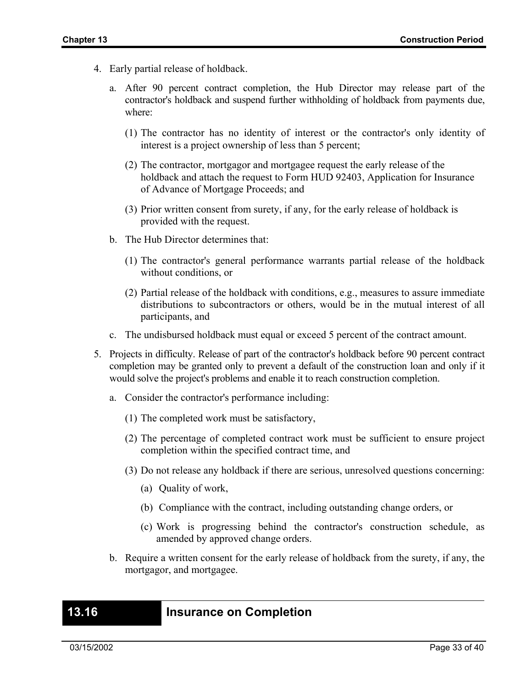- 4. Early partial release of holdback.
	- a. After 90 percent contract completion, the Hub Director may release part of the contractor's holdback and suspend further withholding of holdback from payments due, where:
		- (1) The contractor has no identity of interest or the contractor's only identity of interest is a project ownership of less than 5 percent;
		- (2) The contractor, mortgagor and mortgagee request the early release of the holdback and attach the request to Form HUD 92403, Application for Insurance of Advance of Mortgage Proceeds; and
		- (3) Prior written consent from surety, if any, for the early release of holdback is provided with the request.
	- b. The Hub Director determines that:
		- (1) The contractor's general performance warrants partial release of the holdback without conditions, or
		- (2) Partial release of the holdback with conditions, e.g., measures to assure immediate distributions to subcontractors or others, would be in the mutual interest of all participants, and
	- c. The undisbursed holdback must equal or exceed 5 percent of the contract amount.
- 5. Projects in difficulty. Release of part of the contractor's holdback before 90 percent contract completion may be granted only to prevent a default of the construction loan and only if it would solve the project's problems and enable it to reach construction completion.
	- a. Consider the contractor's performance including:
		- (1) The completed work must be satisfactory,
		- (2) The percentage of completed contract work must be sufficient to ensure project completion within the specified contract time, and
		- (3) Do not release any holdback if there are serious, unresolved questions concerning:
			- (a) Quality of work,
			- (b) Compliance with the contract, including outstanding change orders, or
			- (c) Work is progressing behind the contractor's construction schedule, as amended by approved change orders.
	- b. Require a written consent for the early release of holdback from the surety, if any, the mortgagor, and mortgagee.

#### **13.16 Insurance on Completion**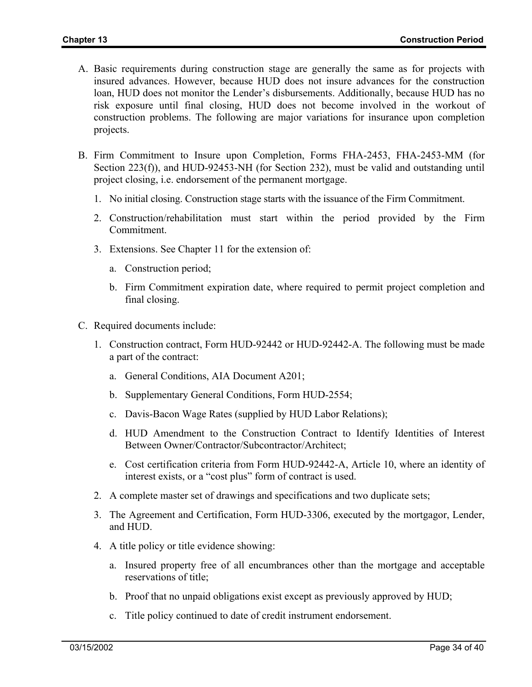- A. Basic requirements during construction stage are generally the same as for projects with insured advances. However, because HUD does not insure advances for the construction loan, HUD does not monitor the Lender's disbursements. Additionally, because HUD has no risk exposure until final closing, HUD does not become involved in the workout of construction problems. The following are major variations for insurance upon completion projects.
- B. Firm Commitment to Insure upon Completion, Forms FHA-2453, FHA-2453-MM (for Section 223(f)), and HUD-92453-NH (for Section 232), must be valid and outstanding until project closing, i.e. endorsement of the permanent mortgage.
	- 1. No initial closing. Construction stage starts with the issuance of the Firm Commitment.
	- 2. Construction/rehabilitation must start within the period provided by the Firm Commitment.
	- 3. Extensions. See Chapter 11 for the extension of:
		- a. Construction period;
		- b. Firm Commitment expiration date, where required to permit project completion and final closing.
- C. Required documents include:
	- 1. Construction contract, Form HUD-92442 or HUD-92442-A. The following must be made a part of the contract:
		- a. General Conditions, AIA Document A201;
		- b. Supplementary General Conditions, Form HUD-2554;
		- c. Davis-Bacon Wage Rates (supplied by HUD Labor Relations);
		- d. HUD Amendment to the Construction Contract to Identify Identities of Interest Between Owner/Contractor/Subcontractor/Architect;
		- e. Cost certification criteria from Form HUD-92442-A, Article 10, where an identity of interest exists, or a "cost plus" form of contract is used.
	- 2. A complete master set of drawings and specifications and two duplicate sets;
	- 3. The Agreement and Certification, Form HUD-3306, executed by the mortgagor, Lender, and HUD.
	- 4. A title policy or title evidence showing:
		- a. Insured property free of all encumbrances other than the mortgage and acceptable reservations of title;
		- b. Proof that no unpaid obligations exist except as previously approved by HUD;
		- c. Title policy continued to date of credit instrument endorsement.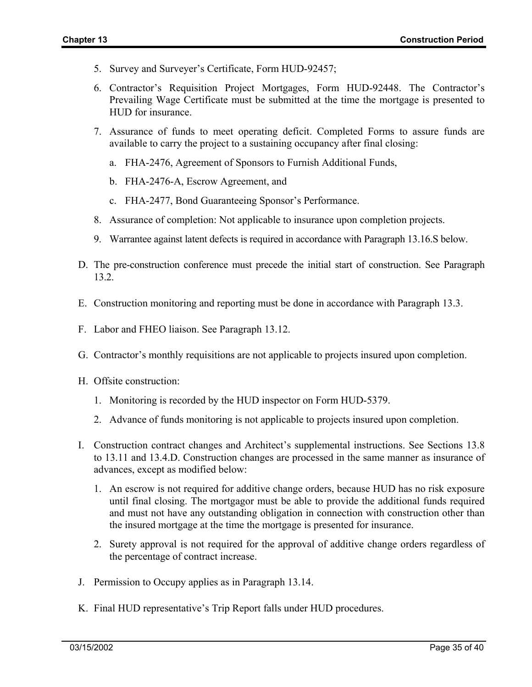- 5. Survey and Surveyer's Certificate, Form HUD-92457;
- 6. Contractor's Requisition Project Mortgages, Form HUD-92448. The Contractor's Prevailing Wage Certificate must be submitted at the time the mortgage is presented to HUD for insurance.
- 7. Assurance of funds to meet operating deficit. Completed Forms to assure funds are available to carry the project to a sustaining occupancy after final closing:
	- a. FHA-2476, Agreement of Sponsors to Furnish Additional Funds,
	- b. FHA-2476-A, Escrow Agreement, and
	- c. FHA-2477, Bond Guaranteeing Sponsor's Performance.
- 8. Assurance of completion: Not applicable to insurance upon completion projects.
- 9. Warrantee against latent defects is required in accordance with Paragraph 13.16.S below.
- D. The pre-construction conference must precede the initial start of construction. See Paragraph 13.2.
- E. Construction monitoring and reporting must be done in accordance with Paragraph 13.3.
- F. Labor and FHEO liaison. See Paragraph 13.12.
- G. Contractor's monthly requisitions are not applicable to projects insured upon completion.
- H. Offsite construction:
	- 1. Monitoring is recorded by the HUD inspector on Form HUD-5379.
	- 2. Advance of funds monitoring is not applicable to projects insured upon completion.
- I. Construction contract changes and Architect's supplemental instructions. See Sections 13.8 to 13.11 and 13.4.D. Construction changes are processed in the same manner as insurance of advances, except as modified below:
	- 1. An escrow is not required for additive change orders, because HUD has no risk exposure until final closing. The mortgagor must be able to provide the additional funds required and must not have any outstanding obligation in connection with construction other than the insured mortgage at the time the mortgage is presented for insurance.
	- 2. Surety approval is not required for the approval of additive change orders regardless of the percentage of contract increase.
- J. Permission to Occupy applies as in Paragraph 13.14.
- K. Final HUD representative's Trip Report falls under HUD procedures.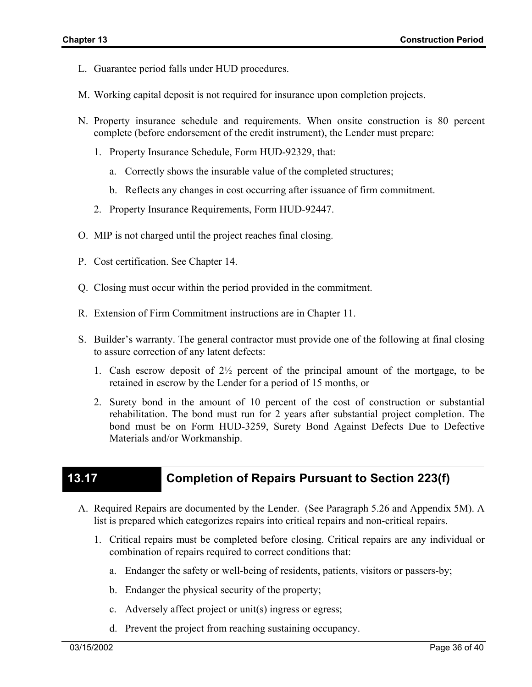- L. Guarantee period falls under HUD procedures.
- M. Working capital deposit is not required for insurance upon completion projects.
- N. Property insurance schedule and requirements. When onsite construction is 80 percent complete (before endorsement of the credit instrument), the Lender must prepare:
	- 1. Property Insurance Schedule, Form HUD-92329, that:
		- a. Correctly shows the insurable value of the completed structures;
		- b. Reflects any changes in cost occurring after issuance of firm commitment.
	- 2. Property Insurance Requirements, Form HUD-92447.
- O. MIP is not charged until the project reaches final closing.
- P. Cost certification. See Chapter 14.
- Q. Closing must occur within the period provided in the commitment.
- R. Extension of Firm Commitment instructions are in Chapter 11.
- S. Builder's warranty. The general contractor must provide one of the following at final closing to assure correction of any latent defects:
	- 1. Cash escrow deposit of  $2\frac{1}{2}$  percent of the principal amount of the mortgage, to be retained in escrow by the Lender for a period of 15 months, or
	- 2. Surety bond in the amount of 10 percent of the cost of construction or substantial rehabilitation. The bond must run for 2 years after substantial project completion. The bond must be on Form HUD-3259, Surety Bond Against Defects Due to Defective Materials and/or Workmanship.

# **13.17 Completion of Repairs Pursuant to Section 223(f)**

- A. Required Repairs are documented by the Lender. (See Paragraph 5.26 and Appendix 5M). A list is prepared which categorizes repairs into critical repairs and non-critical repairs.
	- 1. Critical repairs must be completed before closing. Critical repairs are any individual or combination of repairs required to correct conditions that:
		- a. Endanger the safety or well-being of residents, patients, visitors or passers-by;
		- b. Endanger the physical security of the property;
		- c. Adversely affect project or unit(s) ingress or egress;
		- d. Prevent the project from reaching sustaining occupancy.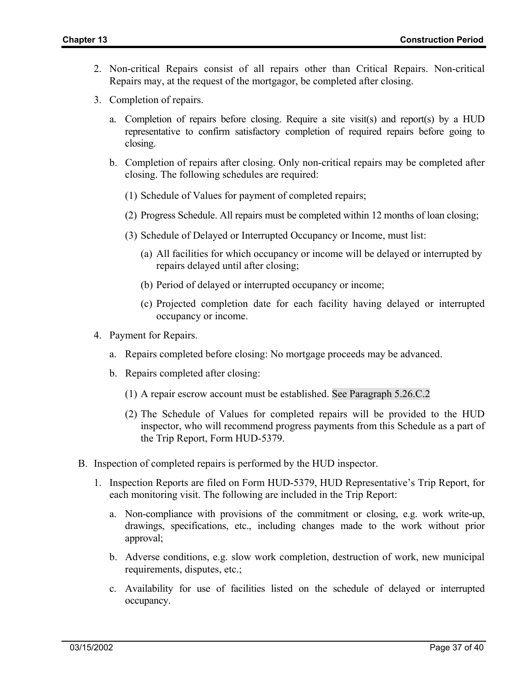- 2. Non-critical Repairs consist of all repairs other than Critical Repairs. Non-critical Repairs may, at the request of the mortgagor, be completed after closing.
- 3. Completion of repairs.
	- a. Completion of repairs before closing. Require a site visit(s) and report(s) by a HUD representative to confirm satisfactory completion of required repairs before going to closing.
	- b. Completion of repairs after closing. Only non-critical repairs may be completed after closing. The following schedules are required:
		- (1) Schedule of Values for payment of completed repairs;
		- (2) Progress Schedule. All repairs must be completed within 12 months of loan closing;
		- (3) Schedule of Delayed or Interrupted Occupancy or Income, must list:
			- (a) All facilities for which occupancy or income will be delayed or interrupted by repairs delayed until after closing;
			- (b) Period of delayed or interrupted occupancy or income;
			- (c) Projected completion date for each facility having delayed or interrupted occupancy or income.
- 4. Payment for Repairs.
	- a. Repairs completed before closing: No mortgage proceeds may be advanced.
	- b. Repairs completed after closing:
		- (1) A repair escrow account must be established. See Paragraph 5.26.C.2
		- (2) The Schedule of Values for completed repairs will be provided to the HUD inspector, who will recommend progress payments from this Schedule as a part of the Trip Report, Form HUD-5379.
- B. Inspection of completed repairs is performed by the HUD inspector.
	- 1. Inspection Reports are filed on Form HUD-5379, HUD Representative's Trip Report, for each monitoring visit. The following are included in the Trip Report:
		- a. Non-compliance with provisions of the commitment or closing, e.g. work write-up, drawings, specifications, etc., including changes made to the work without prior approval;
		- b. Adverse conditions, e.g. slow work completion, destruction of work, new municipal requirements, disputes, etc.;
		- c. Availability for use of facilities listed on the schedule of delayed or interrupted occupancy.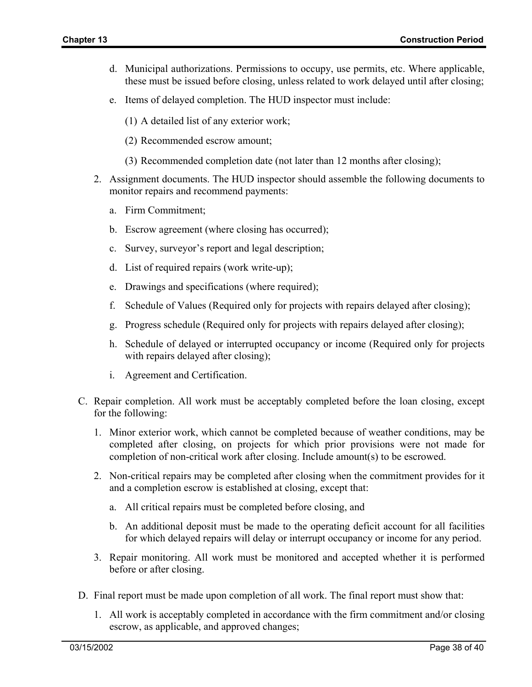- d. Municipal authorizations. Permissions to occupy, use permits, etc. Where applicable, these must be issued before closing, unless related to work delayed until after closing;
- e. Items of delayed completion. The HUD inspector must include:
	- (1) A detailed list of any exterior work;
	- (2) Recommended escrow amount;
	- (3) Recommended completion date (not later than 12 months after closing);
- 2. Assignment documents. The HUD inspector should assemble the following documents to monitor repairs and recommend payments:
	- a. Firm Commitment;
	- b. Escrow agreement (where closing has occurred);
	- c. Survey, surveyor's report and legal description;
	- d. List of required repairs (work write-up);
	- e. Drawings and specifications (where required);
	- f. Schedule of Values (Required only for projects with repairs delayed after closing);
	- g. Progress schedule (Required only for projects with repairs delayed after closing);
	- h. Schedule of delayed or interrupted occupancy or income (Required only for projects with repairs delayed after closing);
	- i. Agreement and Certification.
- C. Repair completion. All work must be acceptably completed before the loan closing, except for the following:
	- 1. Minor exterior work, which cannot be completed because of weather conditions, may be completed after closing, on projects for which prior provisions were not made for completion of non-critical work after closing. Include amount(s) to be escrowed.
	- 2. Non-critical repairs may be completed after closing when the commitment provides for it and a completion escrow is established at closing, except that:
		- a. All critical repairs must be completed before closing, and
		- b. An additional deposit must be made to the operating deficit account for all facilities for which delayed repairs will delay or interrupt occupancy or income for any period.
	- 3. Repair monitoring. All work must be monitored and accepted whether it is performed before or after closing.
- D. Final report must be made upon completion of all work. The final report must show that:
	- 1. All work is acceptably completed in accordance with the firm commitment and/or closing escrow, as applicable, and approved changes;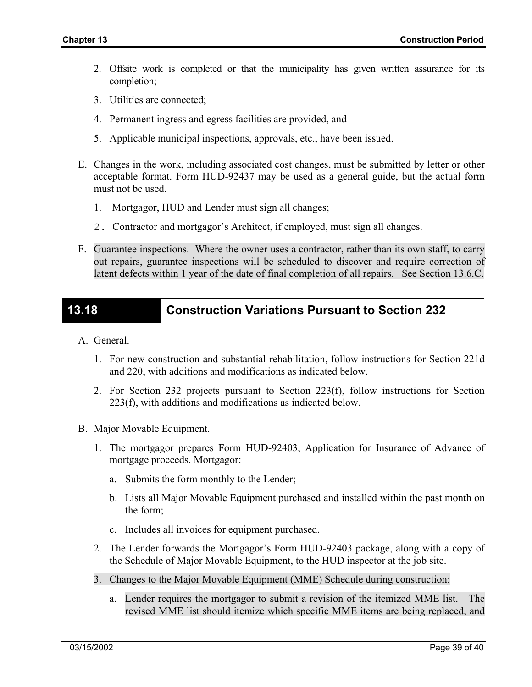- 2. Offsite work is completed or that the municipality has given written assurance for its completion;
- 3. Utilities are connected;
- 4. Permanent ingress and egress facilities are provided, and
- 5. Applicable municipal inspections, approvals, etc., have been issued.
- E. Changes in the work, including associated cost changes, must be submitted by letter or other acceptable format. Form HUD-92437 may be used as a general guide, but the actual form must not be used.
	- 1. Mortgagor, HUD and Lender must sign all changes;
	- 2. Contractor and mortgagor's Architect, if employed, must sign all changes.
- F. Guarantee inspections. Where the owner uses a contractor, rather than its own staff, to carry out repairs, guarantee inspections will be scheduled to discover and require correction of latent defects within 1 year of the date of final completion of all repairs. See Section 13.6.C.

# **13.18 Construction Variations Pursuant to Section 232**

- A. General.
	- 1. For new construction and substantial rehabilitation, follow instructions for Section 221d and 220, with additions and modifications as indicated below.
	- 2. For Section 232 projects pursuant to Section 223(f), follow instructions for Section 223(f), with additions and modifications as indicated below.
- B. Major Movable Equipment.
	- 1. The mortgagor prepares Form HUD-92403, Application for Insurance of Advance of mortgage proceeds. Mortgagor:
		- a. Submits the form monthly to the Lender;
		- b. Lists all Major Movable Equipment purchased and installed within the past month on the form;
		- c. Includes all invoices for equipment purchased.
	- 2. The Lender forwards the Mortgagor's Form HUD-92403 package, along with a copy of the Schedule of Major Movable Equipment, to the HUD inspector at the job site.
	- 3. Changes to the Major Movable Equipment (MME) Schedule during construction:
		- a. Lender requires the mortgagor to submit a revision of the itemized MME list. The revised MME list should itemize which specific MME items are being replaced, and